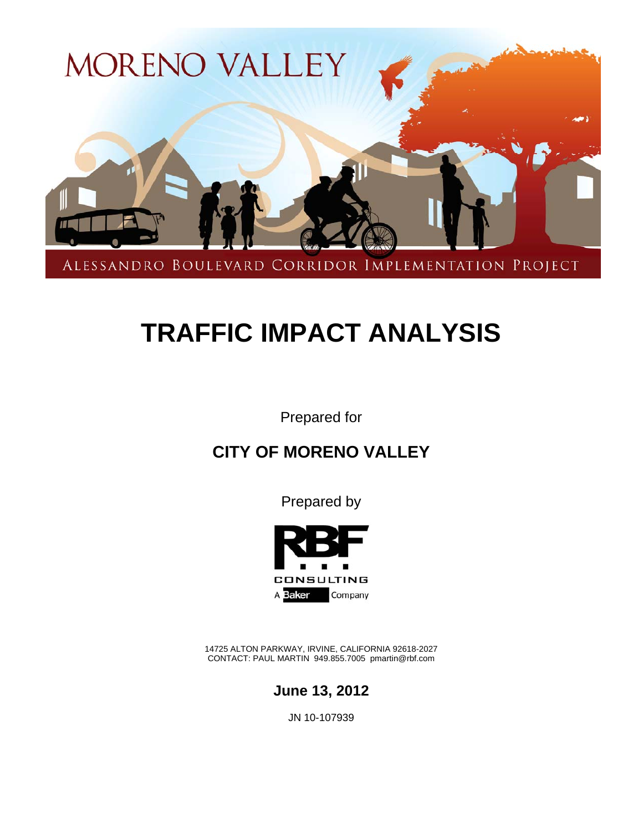

# **TRAFFIC IMPACT ANALYSIS**

Prepared for

### **CITY OF MORENO VALLEY**

Prepared by



14725 ALTON PARKWAY, IRVINE, CALIFORNIA 92618-2027 CONTACT: PAUL MARTIN 949.855.7005 pmartin@rbf.com



JN 10-107939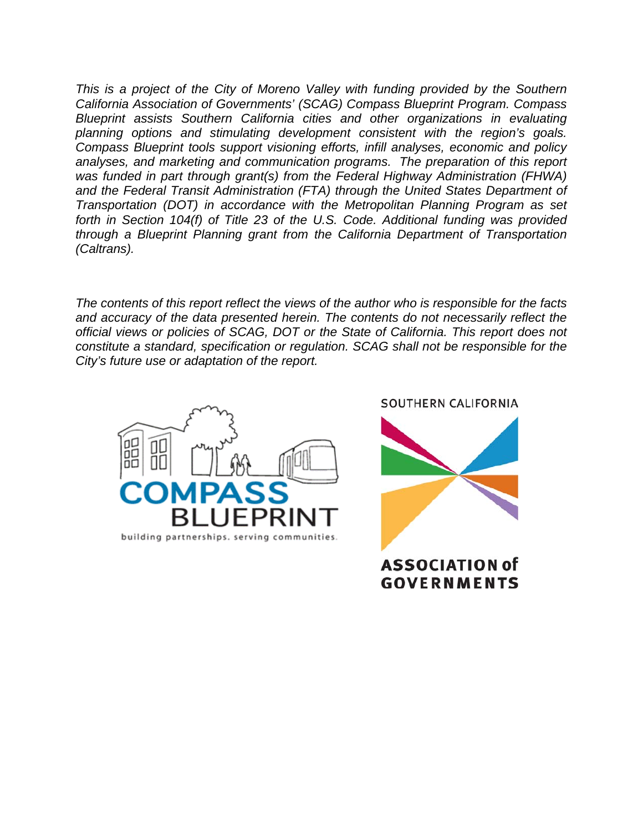*This is a project of the City of Moreno Valley with funding provided by the Southern California Association of Governments' (SCAG) Compass Blueprint Program. Compass Blueprint assists Southern California cities and other organizations in evaluating planning options and stimulating development consistent with the region's goals. Compass Blueprint tools support visioning efforts, infill analyses, economic and policy analyses, and marketing and communication programs. The preparation of this report was funded in part through grant(s) from the Federal Highway Administration (FHWA)*  and the Federal Transit Administration (FTA) through the United States Department of *Transportation (DOT) in accordance with the Metropolitan Planning Program as set forth in Section 104(f) of Title 23 of the U.S. Code. Additional funding was provided through a Blueprint Planning grant from the California Department of Transportation (Caltrans).* 

*The contents of this report reflect the views of the author who is responsible for the facts and accuracy of the data presented herein. The contents do not necessarily reflect the official views or policies of SCAG, DOT or the State of California. This report does not constitute a standard, specification or regulation. SCAG shall not be responsible for the City's future use or adaptation of the report.* 



SOUTHERN CALIFORNIA



ASSOCIATION of **GOVERNMENTS**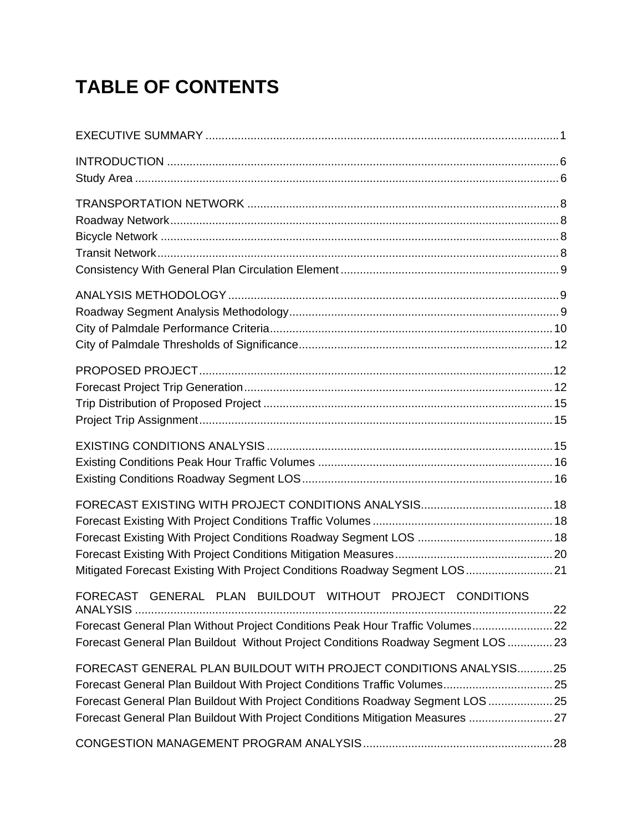# **TABLE OF CONTENTS**

| Mitigated Forecast Existing With Project Conditions Roadway Segment LOS 21                                                                                                                                                                                                                                         |  |
|--------------------------------------------------------------------------------------------------------------------------------------------------------------------------------------------------------------------------------------------------------------------------------------------------------------------|--|
| FORECAST GENERAL PLAN BUILDOUT WITHOUT PROJECT CONDITIONS<br>Forecast General Plan Without Project Conditions Peak Hour Traffic Volumes 22<br>Forecast General Plan Buildout Without Project Conditions Roadway Segment LOS  23                                                                                    |  |
| FORECAST GENERAL PLAN BUILDOUT WITH PROJECT CONDITIONS ANALYSIS25<br>Forecast General Plan Buildout With Project Conditions Traffic Volumes 25<br>Forecast General Plan Buildout With Project Conditions Roadway Segment LOS  25<br>Forecast General Plan Buildout With Project Conditions Mitigation Measures  27 |  |
|                                                                                                                                                                                                                                                                                                                    |  |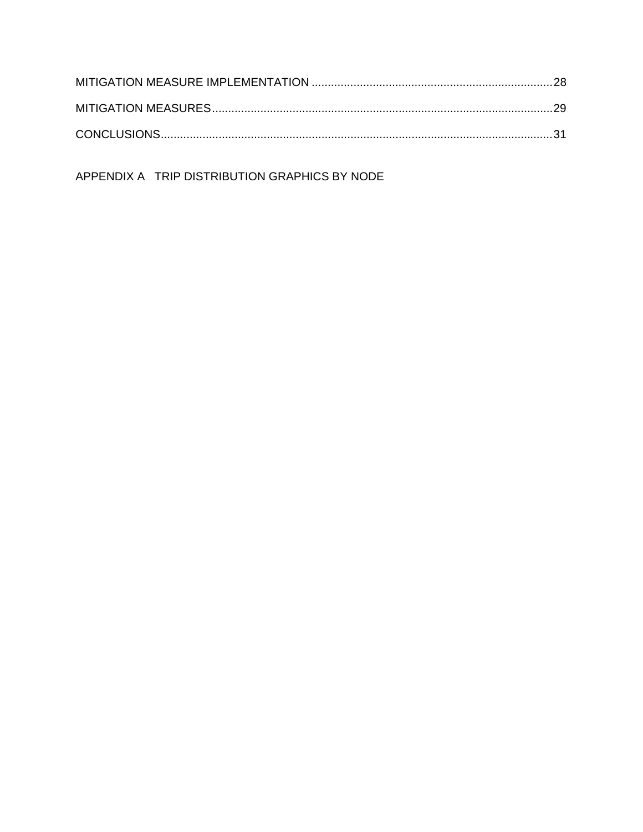APPENDIX A TRIP DISTRIBUTION GRAPHICS BY NODE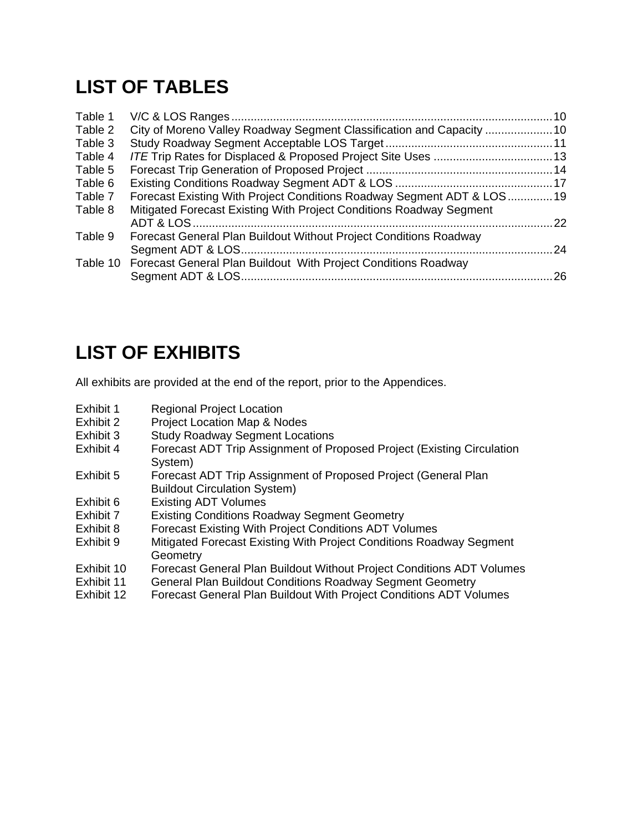## **LIST OF TABLES**

| Table 1 |                                                                         |      |
|---------|-------------------------------------------------------------------------|------|
| Table 2 | City of Moreno Valley Roadway Segment Classification and Capacity  10   |      |
| Table 3 |                                                                         |      |
| Table 4 |                                                                         |      |
| Table 5 |                                                                         |      |
| Table 6 |                                                                         |      |
| Table 7 | Forecast Existing With Project Conditions Roadway Segment ADT & LOS19   |      |
| Table 8 | Mitigated Forecast Existing With Project Conditions Roadway Segment     |      |
|         |                                                                         | 22   |
| Table 9 | Forecast General Plan Buildout Without Project Conditions Roadway       |      |
|         |                                                                         | . 24 |
|         | Table 10 Forecast General Plan Buildout With Project Conditions Roadway |      |
|         |                                                                         | 26   |
|         |                                                                         |      |

### **LIST OF EXHIBITS**

All exhibits are provided at the end of the report, prior to the Appendices.

- Exhibit 1 Regional Project Location
- Exhibit 2 Project Location Map & Nodes
- Exhibit 3 Study Roadway Segment Locations
- Exhibit 4 Forecast ADT Trip Assignment of Proposed Project (Existing Circulation System)
- Exhibit 5 Forecast ADT Trip Assignment of Proposed Project (General Plan Buildout Circulation System)
- Exhibit 6 Existing ADT Volumes<br>Exhibit 7 Existing Conditions Roa
- Existing Conditions Roadway Segment Geometry
- Exhibit 8 Forecast Existing With Project Conditions ADT Volumes
- Exhibit 9 Mitigated Forecast Existing With Project Conditions Roadway Segment **Geometry**
- Exhibit 10 Forecast General Plan Buildout Without Project Conditions ADT Volumes
- Exhibit 11 General Plan Buildout Conditions Roadway Segment Geometry
- Exhibit 12 Forecast General Plan Buildout With Project Conditions ADT Volumes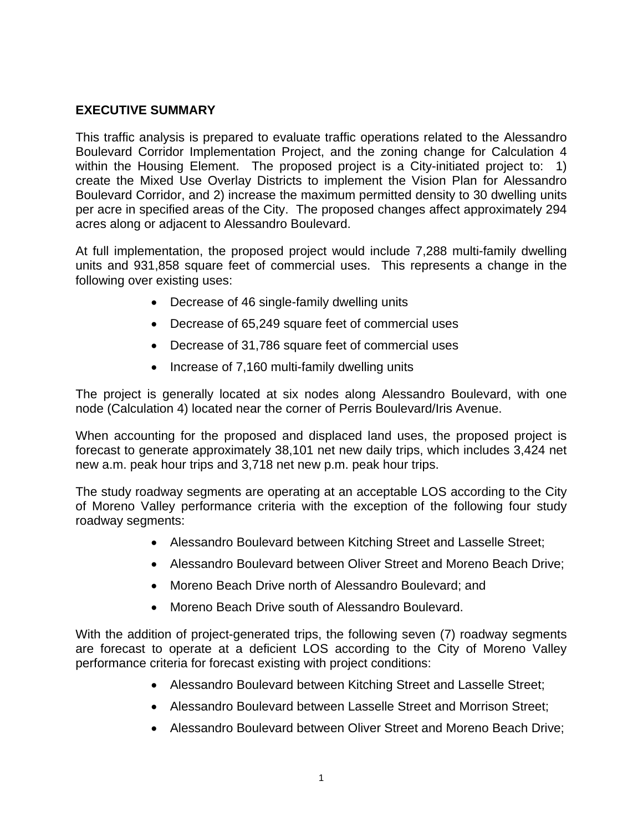#### **EXECUTIVE SUMMARY**

This traffic analysis is prepared to evaluate traffic operations related to the Alessandro Boulevard Corridor Implementation Project, and the zoning change for Calculation 4 within the Housing Element. The proposed project is a City-initiated project to: 1) create the Mixed Use Overlay Districts to implement the Vision Plan for Alessandro Boulevard Corridor, and 2) increase the maximum permitted density to 30 dwelling units per acre in specified areas of the City. The proposed changes affect approximately 294 acres along or adjacent to Alessandro Boulevard.

At full implementation, the proposed project would include 7,288 multi-family dwelling units and 931,858 square feet of commercial uses. This represents a change in the following over existing uses:

- Decrease of 46 single-family dwelling units
- Decrease of 65,249 square feet of commercial uses
- Decrease of 31,786 square feet of commercial uses
- Increase of 7,160 multi-family dwelling units

The project is generally located at six nodes along Alessandro Boulevard, with one node (Calculation 4) located near the corner of Perris Boulevard/Iris Avenue.

When accounting for the proposed and displaced land uses, the proposed project is forecast to generate approximately 38,101 net new daily trips, which includes 3,424 net new a.m. peak hour trips and 3,718 net new p.m. peak hour trips.

The study roadway segments are operating at an acceptable LOS according to the City of Moreno Valley performance criteria with the exception of the following four study roadway segments:

- Alessandro Boulevard between Kitching Street and Lasselle Street;
- Alessandro Boulevard between Oliver Street and Moreno Beach Drive;
- Moreno Beach Drive north of Alessandro Boulevard; and
- Moreno Beach Drive south of Alessandro Boulevard.

With the addition of project-generated trips, the following seven (7) roadway segments are forecast to operate at a deficient LOS according to the City of Moreno Valley performance criteria for forecast existing with project conditions:

- Alessandro Boulevard between Kitching Street and Lasselle Street;
- Alessandro Boulevard between Lasselle Street and Morrison Street;
- Alessandro Boulevard between Oliver Street and Moreno Beach Drive;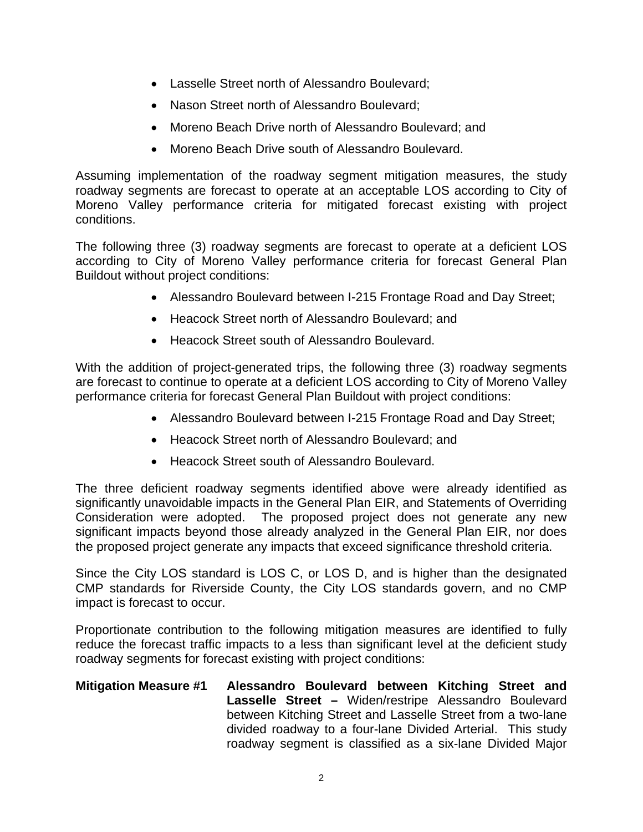- Lasselle Street north of Alessandro Boulevard;
- Nason Street north of Alessandro Boulevard;
- Moreno Beach Drive north of Alessandro Boulevard; and
- Moreno Beach Drive south of Alessandro Boulevard.

Assuming implementation of the roadway segment mitigation measures, the study roadway segments are forecast to operate at an acceptable LOS according to City of Moreno Valley performance criteria for mitigated forecast existing with project conditions.

The following three (3) roadway segments are forecast to operate at a deficient LOS according to City of Moreno Valley performance criteria for forecast General Plan Buildout without project conditions:

- Alessandro Boulevard between I-215 Frontage Road and Day Street;
- Heacock Street north of Alessandro Boulevard; and
- Heacock Street south of Alessandro Boulevard.

With the addition of project-generated trips, the following three (3) roadway segments are forecast to continue to operate at a deficient LOS according to City of Moreno Valley performance criteria for forecast General Plan Buildout with project conditions:

- Alessandro Boulevard between I-215 Frontage Road and Day Street;
- Heacock Street north of Alessandro Boulevard; and
- Heacock Street south of Alessandro Boulevard.

The three deficient roadway segments identified above were already identified as significantly unavoidable impacts in the General Plan EIR, and Statements of Overriding Consideration were adopted. The proposed project does not generate any new significant impacts beyond those already analyzed in the General Plan EIR, nor does the proposed project generate any impacts that exceed significance threshold criteria.

Since the City LOS standard is LOS C, or LOS D, and is higher than the designated CMP standards for Riverside County, the City LOS standards govern, and no CMP impact is forecast to occur.

Proportionate contribution to the following mitigation measures are identified to fully reduce the forecast traffic impacts to a less than significant level at the deficient study roadway segments for forecast existing with project conditions:

#### **Mitigation Measure #1 Alessandro Boulevard between Kitching Street and Lasselle Street –** Widen/restripe Alessandro Boulevard between Kitching Street and Lasselle Street from a two-lane divided roadway to a four-lane Divided Arterial. This study roadway segment is classified as a six-lane Divided Major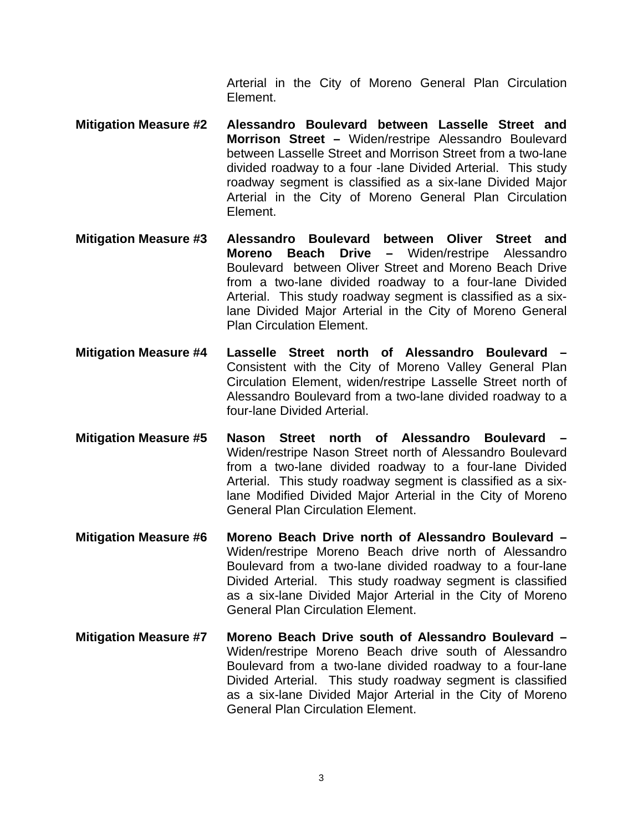Arterial in the City of Moreno General Plan Circulation Element.

- **Mitigation Measure #2 Alessandro Boulevard between Lasselle Street and Morrison Street –** Widen/restripe Alessandro Boulevard between Lasselle Street and Morrison Street from a two-lane divided roadway to a four -lane Divided Arterial. This study roadway segment is classified as a six-lane Divided Major Arterial in the City of Moreno General Plan Circulation Element.
- **Mitigation Measure #3 Alessandro Boulevard between Oliver Street and Moreno Beach Drive –** Widen/restripe Alessandro Boulevard between Oliver Street and Moreno Beach Drive from a two-lane divided roadway to a four-lane Divided Arterial. This study roadway segment is classified as a sixlane Divided Major Arterial in the City of Moreno General Plan Circulation Element.
- **Mitigation Measure #4 Lasselle Street north of Alessandro Boulevard**  Consistent with the City of Moreno Valley General Plan Circulation Element, widen/restripe Lasselle Street north of Alessandro Boulevard from a two-lane divided roadway to a four-lane Divided Arterial.
- **Mitigation Measure #5 Nason Street north of Alessandro Boulevard**  Widen/restripe Nason Street north of Alessandro Boulevard from a two-lane divided roadway to a four-lane Divided Arterial. This study roadway segment is classified as a sixlane Modified Divided Major Arterial in the City of Moreno General Plan Circulation Element.
- **Mitigation Measure #6 Moreno Beach Drive north of Alessandro Boulevard**  Widen/restripe Moreno Beach drive north of Alessandro Boulevard from a two-lane divided roadway to a four-lane Divided Arterial. This study roadway segment is classified as a six-lane Divided Major Arterial in the City of Moreno General Plan Circulation Element.
- **Mitigation Measure #7 Moreno Beach Drive south of Alessandro Boulevard**  Widen/restripe Moreno Beach drive south of Alessandro Boulevard from a two-lane divided roadway to a four-lane Divided Arterial. This study roadway segment is classified as a six-lane Divided Major Arterial in the City of Moreno General Plan Circulation Element.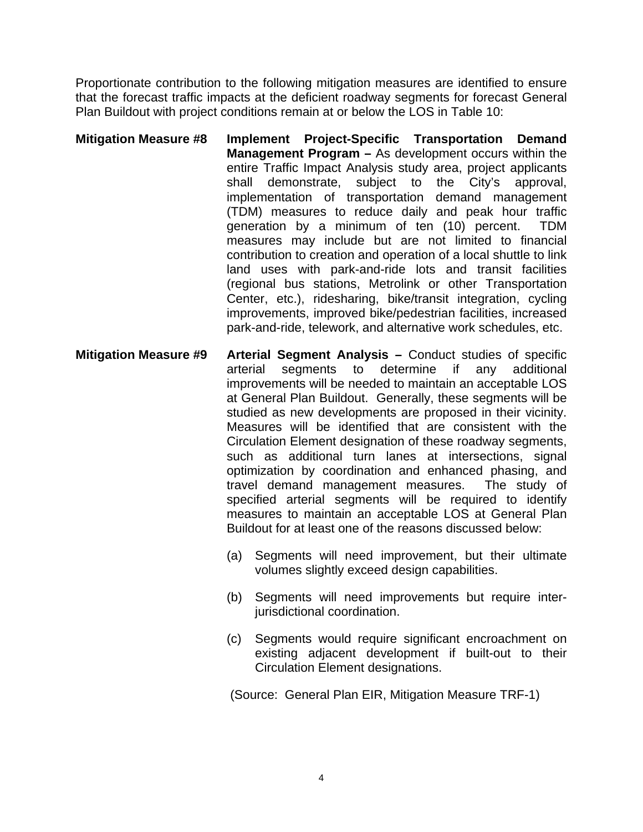Proportionate contribution to the following mitigation measures are identified to ensure that the forecast traffic impacts at the deficient roadway segments for forecast General Plan Buildout with project conditions remain at or below the LOS in Table 10:

- **Mitigation Measure #8 Implement Project-Specific Transportation Demand Management Program –** As development occurs within the entire Traffic Impact Analysis study area, project applicants shall demonstrate, subject to the City's approval, implementation of transportation demand management (TDM) measures to reduce daily and peak hour traffic generation by a minimum of ten (10) percent. TDM measures may include but are not limited to financial contribution to creation and operation of a local shuttle to link land uses with park-and-ride lots and transit facilities (regional bus stations, Metrolink or other Transportation Center, etc.), ridesharing, bike/transit integration, cycling improvements, improved bike/pedestrian facilities, increased park-and-ride, telework, and alternative work schedules, etc.
- **Mitigation Measure #9 Arterial Segment Analysis –** Conduct studies of specific arterial segments to determine if any additional improvements will be needed to maintain an acceptable LOS at General Plan Buildout. Generally, these segments will be studied as new developments are proposed in their vicinity. Measures will be identified that are consistent with the Circulation Element designation of these roadway segments, such as additional turn lanes at intersections, signal optimization by coordination and enhanced phasing, and travel demand management measures. The study of specified arterial segments will be required to identify measures to maintain an acceptable LOS at General Plan Buildout for at least one of the reasons discussed below:
	- (a) Segments will need improvement, but their ultimate volumes slightly exceed design capabilities.
	- (b) Segments will need improvements but require interjurisdictional coordination.
	- (c) Segments would require significant encroachment on existing adjacent development if built-out to their Circulation Element designations.

(Source: General Plan EIR, Mitigation Measure TRF-1)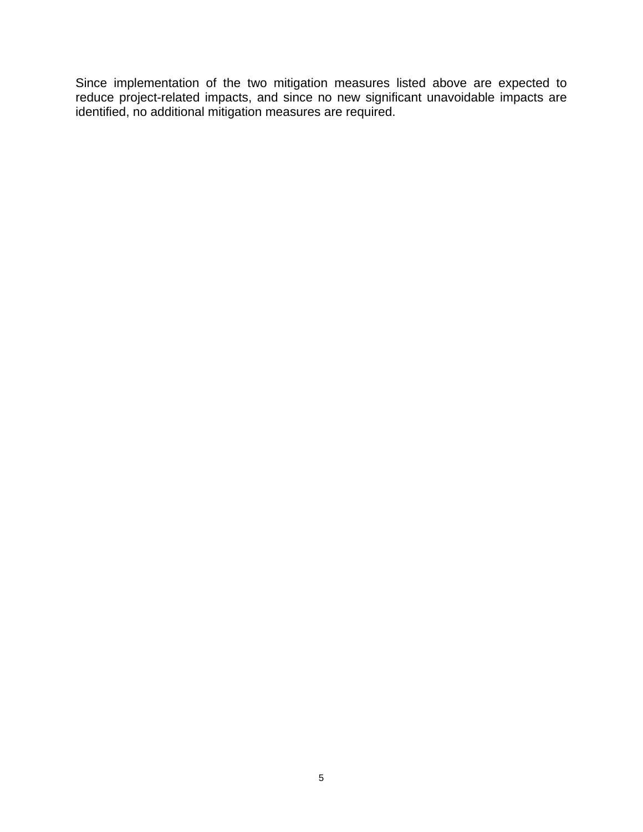Since implementation of the two mitigation measures listed above are expected to reduce project-related impacts, and since no new significant unavoidable impacts are identified, no additional mitigation measures are required.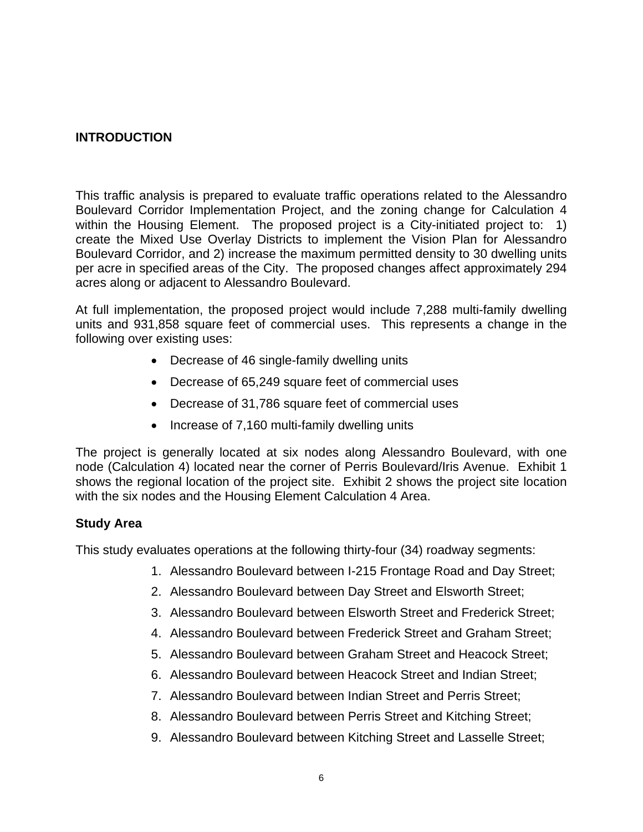#### **INTRODUCTION**

This traffic analysis is prepared to evaluate traffic operations related to the Alessandro Boulevard Corridor Implementation Project, and the zoning change for Calculation 4 within the Housing Element. The proposed project is a City-initiated project to: 1) create the Mixed Use Overlay Districts to implement the Vision Plan for Alessandro Boulevard Corridor, and 2) increase the maximum permitted density to 30 dwelling units per acre in specified areas of the City. The proposed changes affect approximately 294 acres along or adjacent to Alessandro Boulevard.

At full implementation, the proposed project would include 7,288 multi-family dwelling units and 931,858 square feet of commercial uses. This represents a change in the following over existing uses:

- Decrease of 46 single-family dwelling units
- Decrease of 65,249 square feet of commercial uses
- Decrease of 31,786 square feet of commercial uses
- Increase of 7,160 multi-family dwelling units

The project is generally located at six nodes along Alessandro Boulevard, with one node (Calculation 4) located near the corner of Perris Boulevard/Iris Avenue. Exhibit 1 shows the regional location of the project site. Exhibit 2 shows the project site location with the six nodes and the Housing Element Calculation 4 Area.

#### **Study Area**

This study evaluates operations at the following thirty-four (34) roadway segments:

- 1. Alessandro Boulevard between I-215 Frontage Road and Day Street;
- 2. Alessandro Boulevard between Day Street and Elsworth Street;
- 3. Alessandro Boulevard between Elsworth Street and Frederick Street;
- 4. Alessandro Boulevard between Frederick Street and Graham Street;
- 5. Alessandro Boulevard between Graham Street and Heacock Street;
- 6. Alessandro Boulevard between Heacock Street and Indian Street;
- 7. Alessandro Boulevard between Indian Street and Perris Street;
- 8. Alessandro Boulevard between Perris Street and Kitching Street;
- 9. Alessandro Boulevard between Kitching Street and Lasselle Street;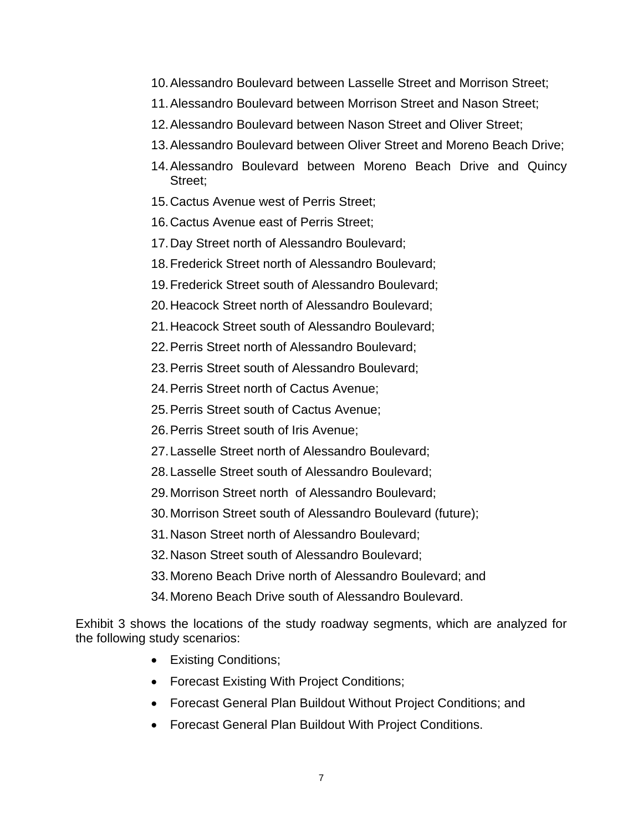- 10. Alessandro Boulevard between Lasselle Street and Morrison Street;
- 11. Alessandro Boulevard between Morrison Street and Nason Street;
- 12. Alessandro Boulevard between Nason Street and Oliver Street;
- 13. Alessandro Boulevard between Oliver Street and Moreno Beach Drive;
- 14. Alessandro Boulevard between Moreno Beach Drive and Quincy Street;
- 15. Cactus Avenue west of Perris Street;
- 16. Cactus Avenue east of Perris Street;
- 17. Day Street north of Alessandro Boulevard;
- 18. Frederick Street north of Alessandro Boulevard;
- 19. Frederick Street south of Alessandro Boulevard;
- 20. Heacock Street north of Alessandro Boulevard;
- 21. Heacock Street south of Alessandro Boulevard;
- 22. Perris Street north of Alessandro Boulevard;
- 23. Perris Street south of Alessandro Boulevard;
- 24. Perris Street north of Cactus Avenue;
- 25. Perris Street south of Cactus Avenue;
- 26. Perris Street south of Iris Avenue;
- 27. Lasselle Street north of Alessandro Boulevard;
- 28. Lasselle Street south of Alessandro Boulevard;
- 29. Morrison Street north of Alessandro Boulevard;
- 30. Morrison Street south of Alessandro Boulevard (future);
- 31. Nason Street north of Alessandro Boulevard;
- 32. Nason Street south of Alessandro Boulevard;
- 33. Moreno Beach Drive north of Alessandro Boulevard; and
- 34. Moreno Beach Drive south of Alessandro Boulevard.

Exhibit 3 shows the locations of the study roadway segments, which are analyzed for the following study scenarios:

- Existing Conditions;
- Forecast Existing With Project Conditions;
- Forecast General Plan Buildout Without Project Conditions; and
- Forecast General Plan Buildout With Project Conditions.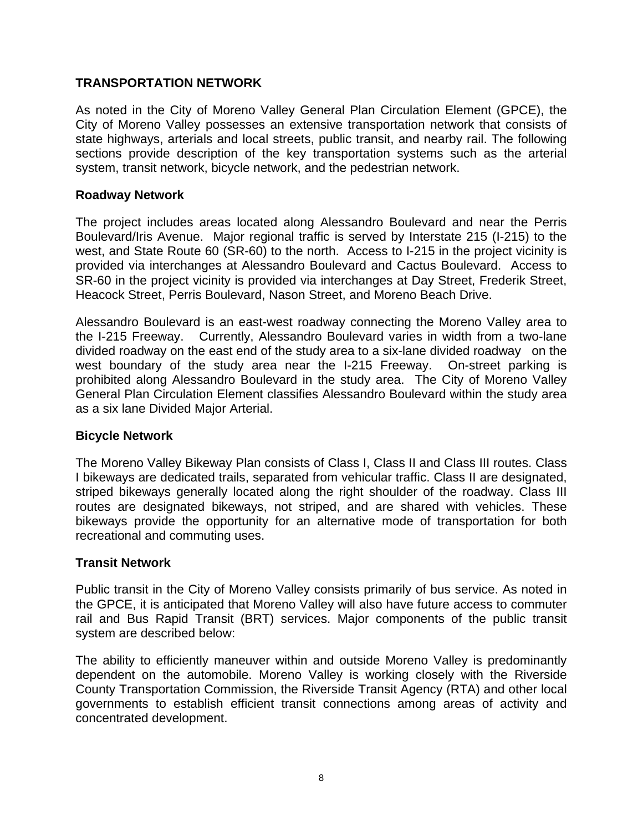#### **TRANSPORTATION NETWORK**

As noted in the City of Moreno Valley General Plan Circulation Element (GPCE), the City of Moreno Valley possesses an extensive transportation network that consists of state highways, arterials and local streets, public transit, and nearby rail. The following sections provide description of the key transportation systems such as the arterial system, transit network, bicycle network, and the pedestrian network.

#### **Roadway Network**

The project includes areas located along Alessandro Boulevard and near the Perris Boulevard/Iris Avenue. Major regional traffic is served by Interstate 215 (I-215) to the west, and State Route 60 (SR-60) to the north. Access to I-215 in the project vicinity is provided via interchanges at Alessandro Boulevard and Cactus Boulevard. Access to SR-60 in the project vicinity is provided via interchanges at Day Street, Frederik Street, Heacock Street, Perris Boulevard, Nason Street, and Moreno Beach Drive.

Alessandro Boulevard is an east-west roadway connecting the Moreno Valley area to the I-215 Freeway. Currently, Alessandro Boulevard varies in width from a two-lane divided roadway on the east end of the study area to a six-lane divided roadway on the west boundary of the study area near the I-215 Freeway. On-street parking is prohibited along Alessandro Boulevard in the study area. The City of Moreno Valley General Plan Circulation Element classifies Alessandro Boulevard within the study area as a six lane Divided Major Arterial.

#### **Bicycle Network**

The Moreno Valley Bikeway Plan consists of Class I, Class II and Class III routes. Class I bikeways are dedicated trails, separated from vehicular traffic. Class II are designated, striped bikeways generally located along the right shoulder of the roadway. Class III routes are designated bikeways, not striped, and are shared with vehicles. These bikeways provide the opportunity for an alternative mode of transportation for both recreational and commuting uses.

#### **Transit Network**

Public transit in the City of Moreno Valley consists primarily of bus service. As noted in the GPCE, it is anticipated that Moreno Valley will also have future access to commuter rail and Bus Rapid Transit (BRT) services. Major components of the public transit system are described below:

The ability to efficiently maneuver within and outside Moreno Valley is predominantly dependent on the automobile. Moreno Valley is working closely with the Riverside County Transportation Commission, the Riverside Transit Agency (RTA) and other local governments to establish efficient transit connections among areas of activity and concentrated development.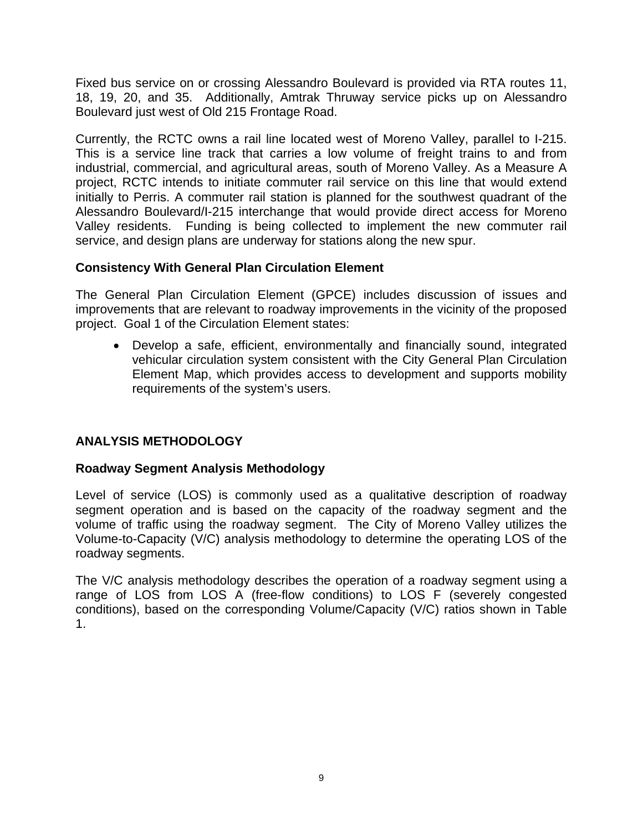Fixed bus service on or crossing Alessandro Boulevard is provided via RTA routes 11, 18, 19, 20, and 35. Additionally, Amtrak Thruway service picks up on Alessandro Boulevard just west of Old 215 Frontage Road.

Currently, the RCTC owns a rail line located west of Moreno Valley, parallel to I-215. This is a service line track that carries a low volume of freight trains to and from industrial, commercial, and agricultural areas, south of Moreno Valley. As a Measure A project, RCTC intends to initiate commuter rail service on this line that would extend initially to Perris. A commuter rail station is planned for the southwest quadrant of the Alessandro Boulevard/I-215 interchange that would provide direct access for Moreno Valley residents. Funding is being collected to implement the new commuter rail service, and design plans are underway for stations along the new spur.

#### **Consistency With General Plan Circulation Element**

The General Plan Circulation Element (GPCE) includes discussion of issues and improvements that are relevant to roadway improvements in the vicinity of the proposed project. Goal 1 of the Circulation Element states:

• Develop a safe, efficient, environmentally and financially sound, integrated vehicular circulation system consistent with the City General Plan Circulation Element Map, which provides access to development and supports mobility requirements of the system's users.

### **ANALYSIS METHODOLOGY**

#### **Roadway Segment Analysis Methodology**

Level of service (LOS) is commonly used as a qualitative description of roadway segment operation and is based on the capacity of the roadway segment and the volume of traffic using the roadway segment. The City of Moreno Valley utilizes the Volume-to-Capacity (V/C) analysis methodology to determine the operating LOS of the roadway segments.

The V/C analysis methodology describes the operation of a roadway segment using a range of LOS from LOS A (free-flow conditions) to LOS F (severely congested conditions), based on the corresponding Volume/Capacity (V/C) ratios shown in Table 1.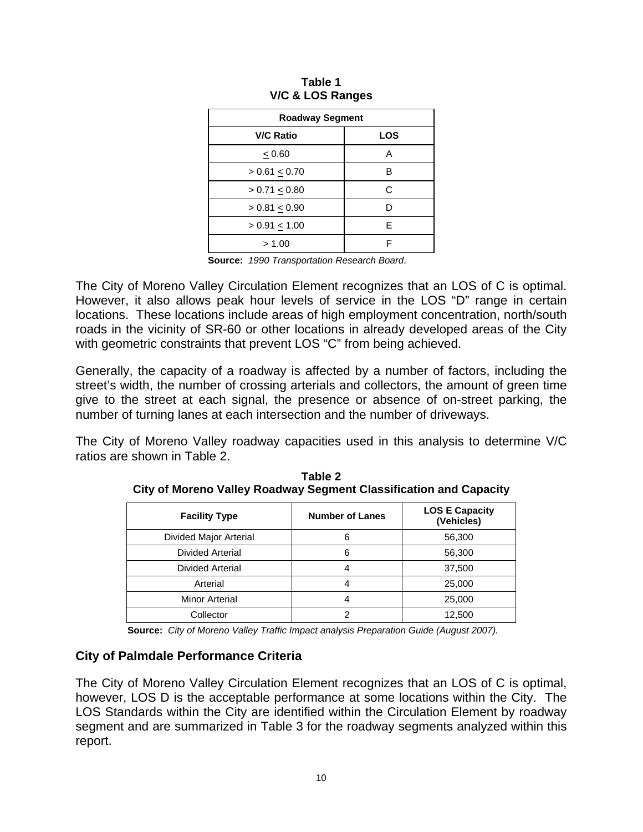| <b>Roadway Segment</b> |            |  |  |  |  |  |
|------------------------|------------|--|--|--|--|--|
| <b>V/C Ratio</b>       | <b>LOS</b> |  |  |  |  |  |
| < 0.60                 | А          |  |  |  |  |  |
| $> 0.61 \le 0.70$      | в          |  |  |  |  |  |
| > 0.71 < 0.80          | C          |  |  |  |  |  |
| > 0.81 < 0.90          | D          |  |  |  |  |  |
| $> 0.91 \le 1.00$      | F          |  |  |  |  |  |
| > 1.00                 | F          |  |  |  |  |  |

|  | Table 1 |                  |
|--|---------|------------------|
|  |         | V/C & LOS Ranges |

**Source:** *1990 Transportation Research Board*.

The City of Moreno Valley Circulation Element recognizes that an LOS of C is optimal. However, it also allows peak hour levels of service in the LOS "D" range in certain locations. These locations include areas of high employment concentration, north/south roads in the vicinity of SR-60 or other locations in already developed areas of the City with geometric constraints that prevent LOS "C" from being achieved.

Generally, the capacity of a roadway is affected by a number of factors, including the street's width, the number of crossing arterials and collectors, the amount of green time give to the street at each signal, the presence or absence of on-street parking, the number of turning lanes at each intersection and the number of driveways.

The City of Moreno Valley roadway capacities used in this analysis to determine V/C ratios are shown in Table 2.

| <b>Facility Type</b>   | <b>Number of Lanes</b> | <b>LOS E Capacity</b><br>(Vehicles) |
|------------------------|------------------------|-------------------------------------|
| Divided Major Arterial | 6                      | 56,300                              |
| Divided Arterial       | 6                      | 56,300                              |
| Divided Arterial       | 4                      | 37,500                              |
| Arterial               |                        | 25,000                              |
| Minor Arterial         |                        | 25,000                              |
| Collector              |                        | 12,500                              |

**Table 2 City of Moreno Valley Roadway Segment Classification and Capacity** 

**Source:** *City of Moreno Valley Traffic Impact analysis Preparation Guide (August 2007).*

#### **City of Palmdale Performance Criteria**

The City of Moreno Valley Circulation Element recognizes that an LOS of C is optimal, however, LOS D is the acceptable performance at some locations within the City. The LOS Standards within the City are identified within the Circulation Element by roadway segment and are summarized in Table 3 for the roadway segments analyzed within this report.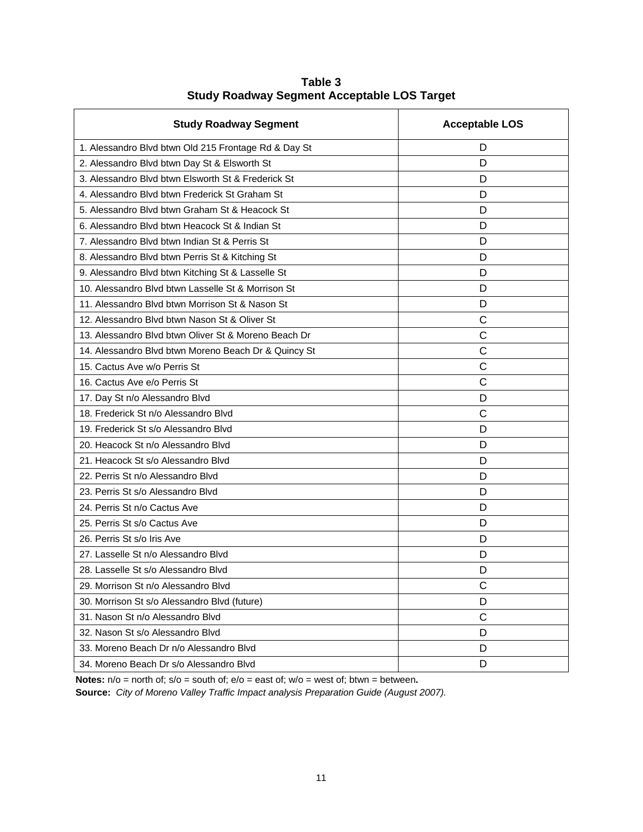| <b>Study Roadway Segment</b>                         | <b>Acceptable LOS</b> |
|------------------------------------------------------|-----------------------|
| 1. Alessandro Blvd btwn Old 215 Frontage Rd & Day St | D                     |
| 2. Alessandro Blvd btwn Day St & Elsworth St         | D                     |
| 3. Alessandro Blyd btwn Elsworth St & Frederick St   | D                     |
| 4. Alessandro Blvd btwn Frederick St Graham St       | D                     |
| 5. Alessandro Blyd btwn Graham St & Heacock St       | D                     |
| 6. Alessandro Blvd btwn Heacock St & Indian St       | D                     |
| 7. Alessandro Blyd btwn Indian St & Perris St        | D                     |
| 8. Alessandro Blvd btwn Perris St & Kitching St      | D                     |
| 9. Alessandro Blvd btwn Kitching St & Lasselle St    | D                     |
| 10. Alessandro Blvd btwn Lasselle St & Morrison St   | D                     |
| 11. Alessandro Blvd btwn Morrison St & Nason St      | D                     |
| 12. Alessandro Blyd btwn Nason St & Oliver St        | C                     |
| 13. Alessandro Blyd btwn Oliver St & Moreno Beach Dr | C                     |
| 14. Alessandro Blvd btwn Moreno Beach Dr & Quincy St | C                     |
| 15. Cactus Ave w/o Perris St                         | C                     |
| 16. Cactus Ave e/o Perris St                         | C                     |
| 17. Day St n/o Alessandro Blvd                       | D                     |
| 18. Frederick St n/o Alessandro Blvd                 | Ċ                     |
| 19. Frederick St s/o Alessandro Blvd                 | D                     |
| 20. Heacock St n/o Alessandro Blvd                   | D                     |
| 21. Heacock St s/o Alessandro Blvd                   | D                     |
| 22. Perris St n/o Alessandro Blvd                    | D                     |
| 23. Perris St s/o Alessandro Blvd                    | D                     |
| 24. Perris St n/o Cactus Ave                         | D                     |
| 25. Perris St s/o Cactus Ave                         | D                     |
| 26. Perris St s/o Iris Ave                           | D                     |
| 27. Lasselle St n/o Alessandro Blvd                  | D                     |
| 28. Lasselle St s/o Alessandro Blvd                  | D                     |
| 29. Morrison St n/o Alessandro Blvd                  | С                     |
| 30. Morrison St s/o Alessandro Blvd (future)         | D                     |
| 31. Nason St n/o Alessandro Blvd                     | $\mathsf{C}$          |
| 32. Nason St s/o Alessandro Blvd                     | D                     |
| 33. Moreno Beach Dr n/o Alessandro Blyd              | D                     |
| 34. Moreno Beach Dr s/o Alessandro Blvd              | D                     |

**Table 3 Study Roadway Segment Acceptable LOS Target** 

**Notes:** n/o = north of; s/o = south of; e/o = east of; w/o = west of; btwn = between**.**

**Source:** *City of Moreno Valley Traffic Impact analysis Preparation Guide (August 2007).*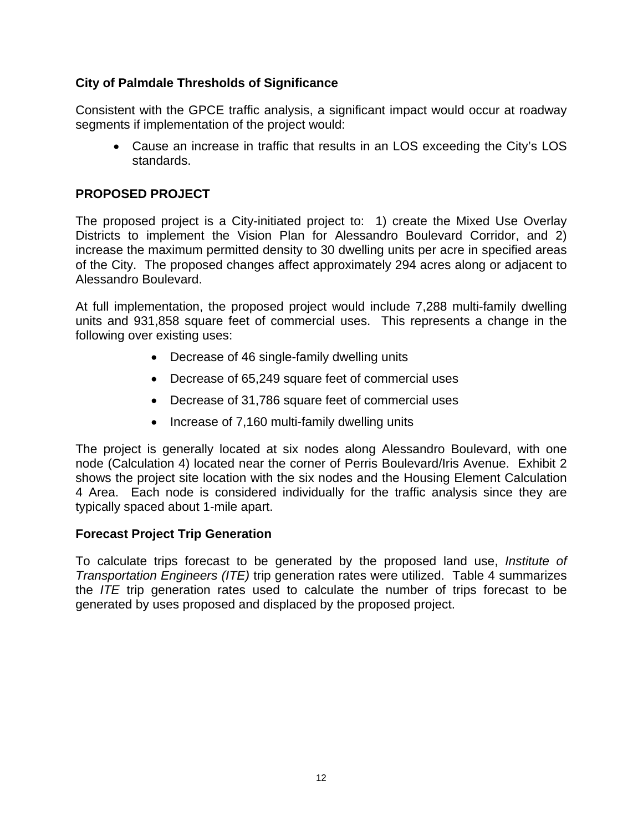#### **City of Palmdale Thresholds of Significance**

Consistent with the GPCE traffic analysis, a significant impact would occur at roadway segments if implementation of the project would:

• Cause an increase in traffic that results in an LOS exceeding the City's LOS standards.

#### **PROPOSED PROJECT**

The proposed project is a City-initiated project to: 1) create the Mixed Use Overlay Districts to implement the Vision Plan for Alessandro Boulevard Corridor, and 2) increase the maximum permitted density to 30 dwelling units per acre in specified areas of the City. The proposed changes affect approximately 294 acres along or adjacent to Alessandro Boulevard.

At full implementation, the proposed project would include 7,288 multi-family dwelling units and 931,858 square feet of commercial uses. This represents a change in the following over existing uses:

- Decrease of 46 single-family dwelling units
- Decrease of 65,249 square feet of commercial uses
- Decrease of 31,786 square feet of commercial uses
- Increase of 7,160 multi-family dwelling units

The project is generally located at six nodes along Alessandro Boulevard, with one node (Calculation 4) located near the corner of Perris Boulevard/Iris Avenue. Exhibit 2 shows the project site location with the six nodes and the Housing Element Calculation 4 Area. Each node is considered individually for the traffic analysis since they are typically spaced about 1-mile apart.

#### **Forecast Project Trip Generation**

To calculate trips forecast to be generated by the proposed land use, *Institute of Transportation Engineers (ITE)* trip generation rates were utilized. Table 4 summarizes the *ITE* trip generation rates used to calculate the number of trips forecast to be generated by uses proposed and displaced by the proposed project.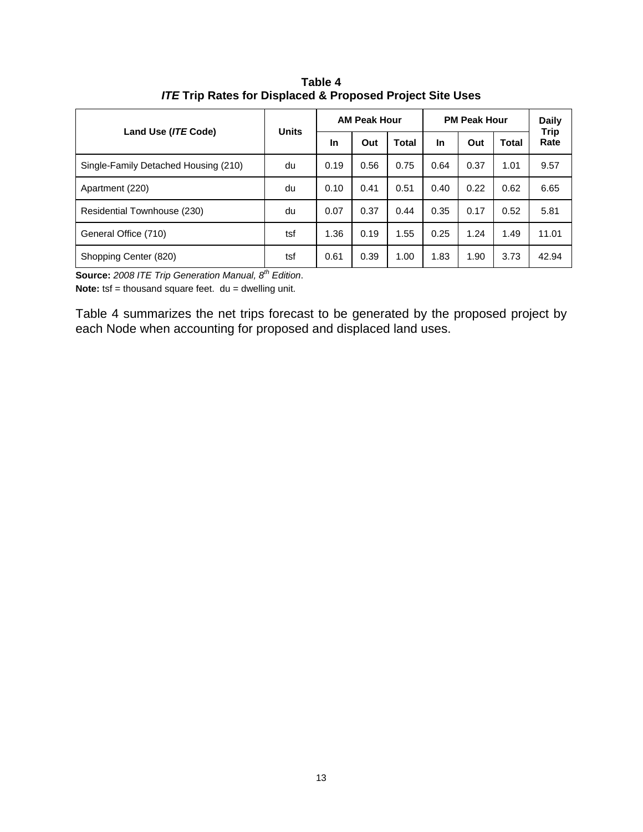| Land Use (ITE Code)                  | <b>Units</b>          |      | <b>AM Peak Hour</b> |       | <b>PM Peak Hour</b> | <b>Daily</b><br><b>Trip</b> |       |       |
|--------------------------------------|-----------------------|------|---------------------|-------|---------------------|-----------------------------|-------|-------|
|                                      |                       | In   | Out                 | Total | <b>In</b>           | Out                         | Total | Rate  |
| Single-Family Detached Housing (210) | du                    | 0.19 | 0.56                | 0.75  | 0.64                | 0.37                        | 1.01  | 9.57  |
| Apartment (220)                      | du                    | 0.10 | 0.41                | 0.51  | 0.40                | 0.22                        | 0.62  | 6.65  |
| Residential Townhouse (230)          | du                    | 0.07 | 0.37                | 0.44  | 0.35                | 0.17                        | 0.52  | 5.81  |
| General Office (710)                 | tsf                   | 1.36 | 0.19                | 1.55  | 0.25                | 1.24                        | 1.49  | 11.01 |
| Shopping Center (820)                | tsf<br>4 <sub>1</sub> | 0.61 | 0.39                | 1.00  | 1.83                | 1.90                        | 3.73  | 42.94 |

**Table 4**  *ITE* **Trip Rates for Displaced & Proposed Project Site Uses** 

**Source:** 2008 ITE Trip Generation Manual, 8<sup>th</sup> Edition.

**Note:** tsf = thousand square feet. du = dwelling unit.

Table 4 summarizes the net trips forecast to be generated by the proposed project by each Node when accounting for proposed and displaced land uses.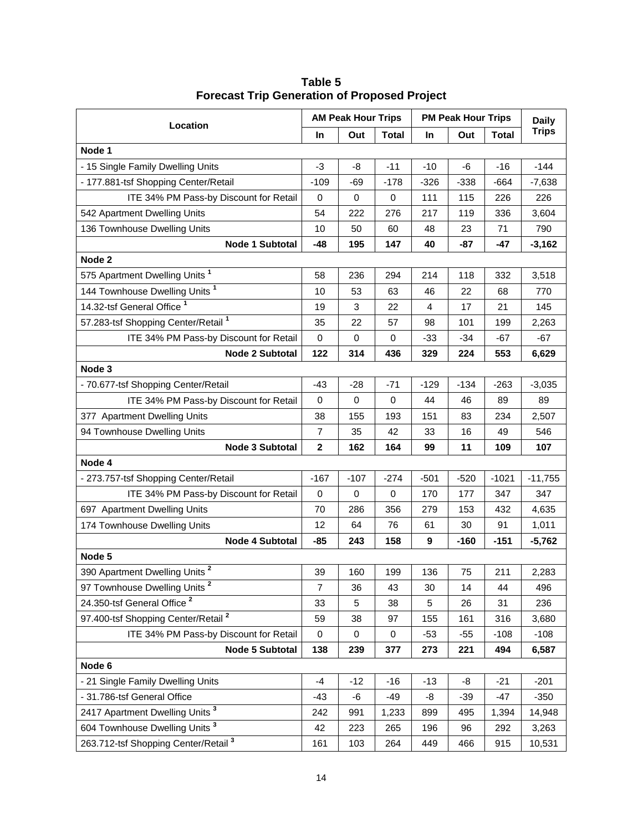| Location                                        |             | <b>AM Peak Hour Trips</b> |              | <b>PM Peak Hour Trips</b> | <b>Daily</b> |              |              |
|-------------------------------------------------|-------------|---------------------------|--------------|---------------------------|--------------|--------------|--------------|
|                                                 | In.         | Out                       | <b>Total</b> | <b>In</b>                 | Out          | <b>Total</b> | <b>Trips</b> |
| Node 1                                          |             |                           |              |                           |              |              |              |
| - 15 Single Family Dwelling Units               | $-3$        | -8                        | $-11$        | $-10$                     | -6           | $-16$        | $-144$       |
| - 177.881-tsf Shopping Center/Retail            | $-109$      | -69                       | $-178$       | $-326$                    | $-338$       | $-664$       | $-7,638$     |
| ITE 34% PM Pass-by Discount for Retail          | 0           | 0                         | 0            | 111                       | 115          | 226          | 226          |
| 542 Apartment Dwelling Units                    | 54          | 222                       | 276          | 217                       | 119          | 336          | 3,604        |
| 136 Townhouse Dwelling Units                    | 10          | 50                        | 60           | 48                        | 23           | 71           | 790          |
| Node 1 Subtotal                                 | $-48$       | 195                       | 147          | 40                        | -87          | $-47$        | $-3,162$     |
| Node 2                                          |             |                           |              |                           |              |              |              |
| 575 Apartment Dwelling Units <sup>1</sup>       | 58          | 236                       | 294          | 214                       | 118          | 332          | 3,518        |
| 144 Townhouse Dwelling Units <sup>1</sup>       | 10          | 53                        | 63           | 46                        | 22           | 68           | 770          |
| 14.32-tsf General Office <sup>1</sup>           | 19          | 3                         | 22           | 4                         | 17           | 21           | 145          |
| 57.283-tsf Shopping Center/Retail <sup>1</sup>  | 35          | 22                        | 57           | 98                        | 101          | 199          | 2,263        |
| ITE 34% PM Pass-by Discount for Retail          | 0           | $\mathbf 0$               | 0            | $-33$                     | $-34$        | $-67$        | $-67$        |
| Node 2 Subtotal                                 | 122         | 314                       | 436          | 329                       | 224          | 553          | 6,629        |
| Node 3                                          |             |                           |              |                           |              |              |              |
| - 70.677-tsf Shopping Center/Retail             | $-43$       | $-28$                     | $-71$        | $-129$                    | $-134$       | $-263$       | $-3,035$     |
| ITE 34% PM Pass-by Discount for Retail          | 0           | $\mathbf 0$               | $\mathbf 0$  | 44                        | 46           | 89           | 89           |
| 377 Apartment Dwelling Units                    | 38          | 155                       | 193          | 151                       | 83           | 234          | 2,507        |
| 94 Townhouse Dwelling Units                     | 7           | 35                        | 42           | 33                        | 16           | 49           | 546          |
| Node 3 Subtotal                                 | $\mathbf 2$ | 162                       | 164          | 99                        | 11           | 109          | 107          |
| Node 4                                          |             |                           |              |                           |              |              |              |
| - 273.757-tsf Shopping Center/Retail            | $-167$      | $-107$                    | $-274$       | $-501$                    | $-520$       | $-1021$      | $-11,755$    |
| ITE 34% PM Pass-by Discount for Retail          | 0           | 0                         | 0            | 170                       | 177          | 347          | 347          |
| 697 Apartment Dwelling Units                    | 70          | 286                       | 356          | 279                       | 153          | 432          | 4,635        |
| 174 Townhouse Dwelling Units                    | 12          | 64                        | 76           | 61                        | 30           | 91           | 1,011        |
| Node 4 Subtotal                                 | $-85$       | 243                       | 158          | 9                         | -160         | $-151$       | $-5,762$     |
| Node 5                                          |             |                           |              |                           |              |              |              |
| 390 Apartment Dwelling Units <sup>2</sup>       | 39          | 160                       | 199          | 136                       | 75           | 211          | 2,283        |
| 97 Townhouse Dwelling Units <sup>2</sup>        | 7           | 36                        | 43           | 30                        | 14           | 44           | 496          |
| 24.350-tsf General Office <sup>2</sup>          | 33          | 5                         | 38           | 5                         | 26           | 31           | 236          |
| 97.400-tsf Shopping Center/Retail <sup>2</sup>  | 59          | 38                        | 97           | 155                       | 161          | 316          | 3,680        |
| ITE 34% PM Pass-by Discount for Retail          | 0           | $\pmb{0}$                 | 0            | $-53$                     | $-55$        | $-108$       | $-108$       |
| Node 5 Subtotal                                 | 138         | 239                       | 377          | 273                       | 221          | 494          | 6,587        |
| Node 6                                          |             |                           |              |                           |              |              |              |
| - 21 Single Family Dwelling Units               | $-4$        | $-12$                     | $-16$        | $-13$                     | -8           | $-21$        | $-201$       |
| - 31.786-tsf General Office                     | -43         | -6                        | $-49$        | -8                        | $-39$        | -47          | $-350$       |
| 2417 Apartment Dwelling Units <sup>3</sup>      | 242         | 991                       | 1,233        | 899                       | 495          | 1,394        | 14,948       |
| 604 Townhouse Dwelling Units <sup>3</sup>       | 42          | 223                       | 265          | 196                       | 96           | 292          | 3,263        |
| 263.712-tsf Shopping Center/Retail <sup>3</sup> | 161         | 103                       | 264          | 449                       | 466          | 915          | 10,531       |

**Table 5 Forecast Trip Generation of Proposed Project**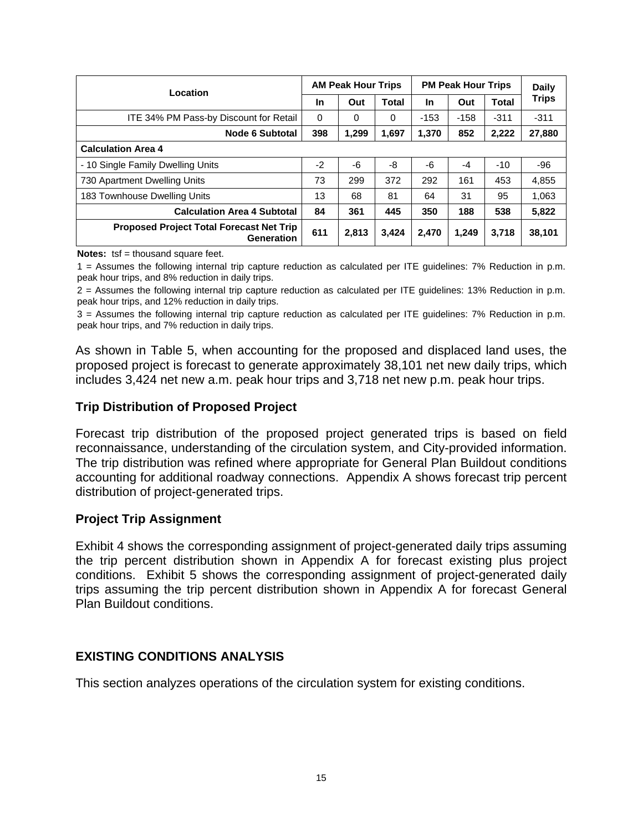| Location                                                      |          | <b>AM Peak Hour Trips</b> |              | <b>PM Peak Hour Trips</b> |        |        | <b>Daily</b> |  |
|---------------------------------------------------------------|----------|---------------------------|--------------|---------------------------|--------|--------|--------------|--|
|                                                               | In       | Out                       | <b>Total</b> | <b>In</b>                 | Out    | Total  | <b>Trips</b> |  |
| ITE 34% PM Pass-by Discount for Retail                        | $\Omega$ | 0                         | 0            | $-153$                    | $-158$ | $-311$ | $-311$       |  |
| <b>Node 6 Subtotal</b>                                        | 398      | 1,299                     | 1,697        | 1,370                     | 852    | 2,222  | 27,880       |  |
| <b>Calculation Area 4</b>                                     |          |                           |              |                           |        |        |              |  |
| - 10 Single Family Dwelling Units                             | $-2$     | -6                        | -8           | -6                        | $-4$   | $-10$  | -96          |  |
| 730 Apartment Dwelling Units                                  | 73       | 299                       | 372          | 292                       | 161    | 453    | 4,855        |  |
| 183 Townhouse Dwelling Units                                  | 13       | 68                        | 81           | 64                        | 31     | 95     | 1,063        |  |
| <b>Calculation Area 4 Subtotal</b>                            | 84       | 361                       | 445          | 350                       | 188    | 538    | 5,822        |  |
| <b>Proposed Project Total Forecast Net Trip</b><br>Generation | 611      | 2,813                     | 3.424        | 2.470                     | 1.249  | 3.718  | 38,101       |  |

**Notes:** tsf = thousand square feet.

1 = Assumes the following internal trip capture reduction as calculated per ITE guidelines: 7% Reduction in p.m. peak hour trips, and 8% reduction in daily trips.

2 = Assumes the following internal trip capture reduction as calculated per ITE guidelines: 13% Reduction in p.m. peak hour trips, and 12% reduction in daily trips.

3 = Assumes the following internal trip capture reduction as calculated per ITE guidelines: 7% Reduction in p.m. peak hour trips, and 7% reduction in daily trips.

As shown in Table 5, when accounting for the proposed and displaced land uses, the proposed project is forecast to generate approximately 38,101 net new daily trips, which includes 3,424 net new a.m. peak hour trips and 3,718 net new p.m. peak hour trips.

#### **Trip Distribution of Proposed Project**

Forecast trip distribution of the proposed project generated trips is based on field reconnaissance, understanding of the circulation system, and City-provided information. The trip distribution was refined where appropriate for General Plan Buildout conditions accounting for additional roadway connections. Appendix A shows forecast trip percent distribution of project-generated trips.

#### **Project Trip Assignment**

Exhibit 4 shows the corresponding assignment of project-generated daily trips assuming the trip percent distribution shown in Appendix A for forecast existing plus project conditions. Exhibit 5 shows the corresponding assignment of project-generated daily trips assuming the trip percent distribution shown in Appendix A for forecast General Plan Buildout conditions.

#### **EXISTING CONDITIONS ANALYSIS**

This section analyzes operations of the circulation system for existing conditions.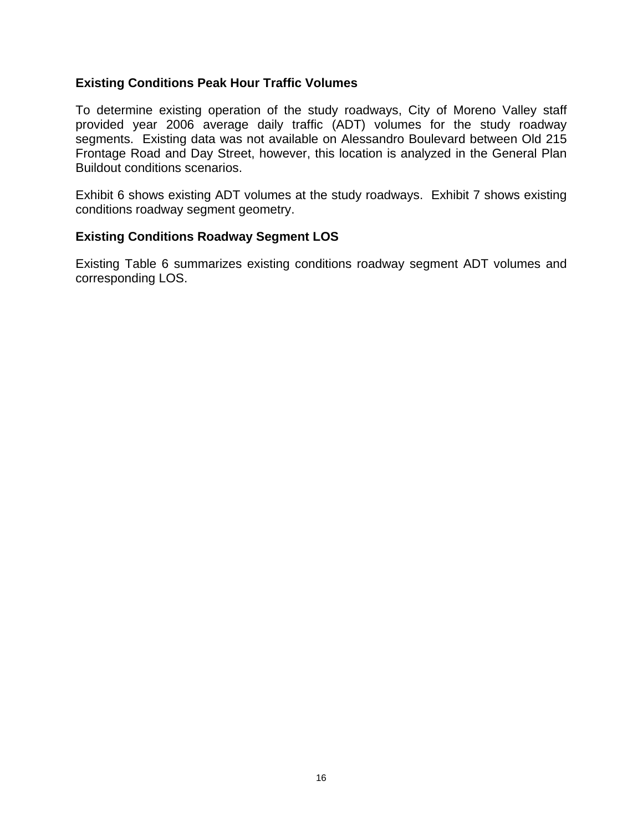#### **Existing Conditions Peak Hour Traffic Volumes**

To determine existing operation of the study roadways, City of Moreno Valley staff provided year 2006 average daily traffic (ADT) volumes for the study roadway segments. Existing data was not available on Alessandro Boulevard between Old 215 Frontage Road and Day Street, however, this location is analyzed in the General Plan Buildout conditions scenarios.

Exhibit 6 shows existing ADT volumes at the study roadways. Exhibit 7 shows existing conditions roadway segment geometry.

#### **Existing Conditions Roadway Segment LOS**

Existing Table 6 summarizes existing conditions roadway segment ADT volumes and corresponding LOS.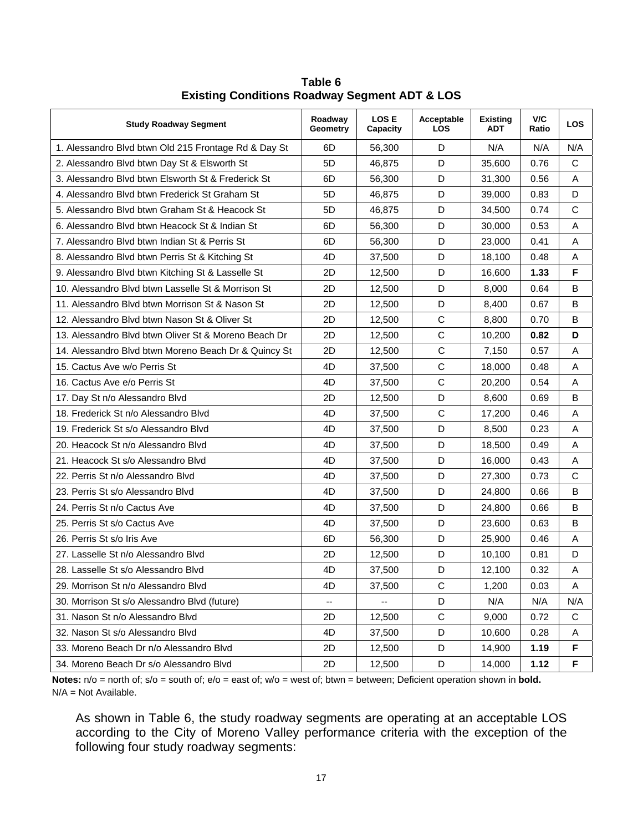| <b>Study Roadway Segment</b>                         | Roadway<br>Geometry | <b>LOSE</b><br>Capacity | Acceptable<br><b>LOS</b> | <b>Existing</b><br><b>ADT</b> | V/C<br>Ratio | <b>LOS</b>  |
|------------------------------------------------------|---------------------|-------------------------|--------------------------|-------------------------------|--------------|-------------|
| 1. Alessandro Blvd btwn Old 215 Frontage Rd & Day St | 6D                  | 56,300                  | D                        | N/A                           | N/A          | N/A         |
| 2. Alessandro Blvd btwn Day St & Elsworth St         | 5 <sub>D</sub>      | 46,875                  | D                        | 35,600                        | 0.76         | С           |
| 3. Alessandro Blvd btwn Elsworth St & Frederick St   | 6D                  | 56,300                  | D                        | 31,300                        | 0.56         | A           |
| 4. Alessandro Blyd btwn Frederick St Graham St       | 5D                  | 46,875                  | D                        | 39,000                        | 0.83         | D           |
| 5. Alessandro Blvd btwn Graham St & Heacock St       | 5D                  | 46,875                  | D                        | 34,500                        | 0.74         | $\mathsf C$ |
| 6. Alessandro Blvd btwn Heacock St & Indian St       | 6D                  | 56,300                  | D                        | 30,000                        | 0.53         | Α           |
| 7. Alessandro Blvd btwn Indian St & Perris St        | 6D                  | 56,300                  | D                        | 23,000                        | 0.41         | Α           |
| 8. Alessandro Blvd btwn Perris St & Kitching St      | 4D                  | 37,500                  | D                        | 18,100                        | 0.48         | Α           |
| 9. Alessandro Blvd btwn Kitching St & Lasselle St    | 2D                  | 12,500                  | D                        | 16,600                        | 1.33         | F           |
| 10. Alessandro Blyd btwn Lasselle St & Morrison St   | 2D                  | 12,500                  | D                        | 8,000                         | 0.64         | B           |
| 11. Alessandro Blvd btwn Morrison St & Nason St      | 2D                  | 12,500                  | D                        | 8,400                         | 0.67         | B           |
| 12. Alessandro Blyd btwn Nason St & Oliver St        | 2D                  | 12,500                  | $\mathbf C$              | 8,800                         | 0.70         | B           |
| 13. Alessandro Blvd btwn Oliver St & Moreno Beach Dr | 2D                  | 12,500                  | $\mathsf C$              | 10,200                        | 0.82         | D           |
| 14. Alessandro Blvd btwn Moreno Beach Dr & Quincy St | 2D                  | 12,500                  | $\mathbf C$              | 7,150                         | 0.57         | Α           |
| 15. Cactus Ave w/o Perris St                         | 4D                  | 37,500                  | $\mathsf C$              | 18,000                        | 0.48         | Α           |
| 16. Cactus Ave e/o Perris St                         | 4D                  | 37,500                  | $\mathbf C$              | 20,200                        | 0.54         | Α           |
| 17. Day St n/o Alessandro Blvd                       | 2D                  | 12,500                  | D                        | 8,600                         | 0.69         | B           |
| 18. Frederick St n/o Alessandro Blvd                 | 4D                  | 37,500                  | $\mathsf{C}$             | 17,200                        | 0.46         | A           |
| 19. Frederick St s/o Alessandro Blvd                 | 4D                  | 37,500                  | D                        | 8,500                         | 0.23         | Α           |
| 20. Heacock St n/o Alessandro Blvd                   | 4D                  | 37,500                  | D                        | 18,500                        | 0.49         | Α           |
| 21. Heacock St s/o Alessandro Blvd                   | 4D                  | 37,500                  | D                        | 16,000                        | 0.43         | Α           |
| 22. Perris St n/o Alessandro Blvd                    | 4D                  | 37,500                  | D                        | 27,300                        | 0.73         | C           |
| 23. Perris St s/o Alessandro Blvd                    | 4D                  | 37,500                  | D                        | 24,800                        | 0.66         | В           |
| 24. Perris St n/o Cactus Ave                         | 4D                  | 37,500                  | D                        | 24,800                        | 0.66         | B           |
| 25. Perris St s/o Cactus Ave                         | 4D                  | 37,500                  | D                        | 23,600                        | 0.63         | В           |
| 26. Perris St s/o Iris Ave                           | 6D                  | 56,300                  | D                        | 25,900                        | 0.46         | A           |
| 27. Lasselle St n/o Alessandro Blvd                  | 2D                  | 12,500                  | D                        | 10,100                        | 0.81         | D           |
| 28. Lasselle St s/o Alessandro Blvd                  | 4D                  | 37,500                  | D                        | 12,100                        | 0.32         | Α           |
| 29. Morrison St n/o Alessandro Blvd                  | 4D                  | 37,500                  | C                        | 1,200                         | 0.03         | A           |
| 30. Morrison St s/o Alessandro Blvd (future)         | --                  |                         | D                        | N/A                           | N/A          | N/A         |
| 31. Nason St n/o Alessandro Blvd                     | 2D                  | 12,500                  | C                        | 9,000                         | 0.72         | С           |
| 32. Nason St s/o Alessandro Blvd                     | 4D                  | 37,500                  | D                        | 10,600                        | 0.28         | Α           |
| 33. Moreno Beach Dr n/o Alessandro Blvd              | 2D                  | 12,500                  | D                        | 14,900                        | 1.19         | F           |
| 34. Moreno Beach Dr s/o Alessandro Blvd              | 2D                  | 12,500                  | D                        | 14,000                        | 1.12         | F           |

**Table 6 Existing Conditions Roadway Segment ADT & LOS** 

**Notes:** n/o = north of; s/o = south of; e/o = east of; w/o = west of; btwn = between; Deficient operation shown in **bold.** N/A = Not Available.

As shown in Table 6, the study roadway segments are operating at an acceptable LOS according to the City of Moreno Valley performance criteria with the exception of the following four study roadway segments: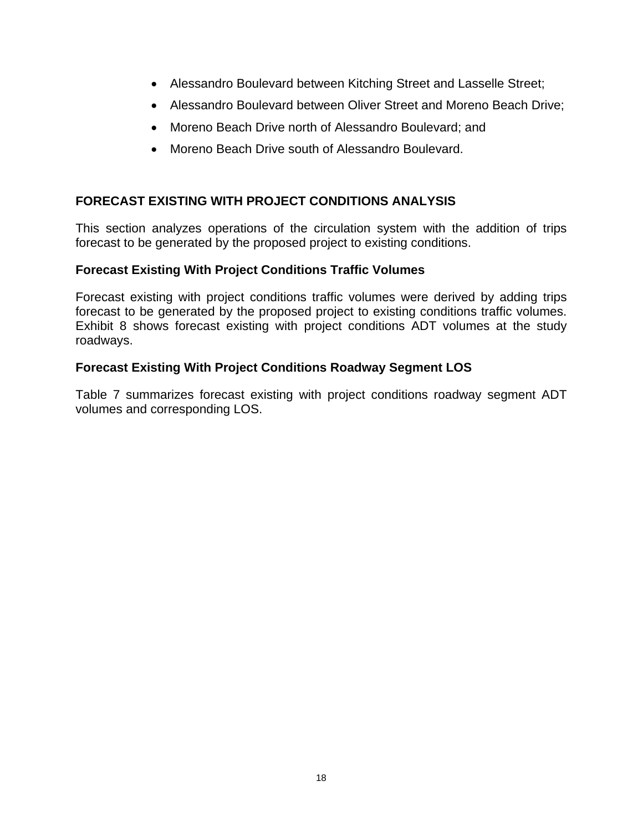- Alessandro Boulevard between Kitching Street and Lasselle Street;
- Alessandro Boulevard between Oliver Street and Moreno Beach Drive;
- Moreno Beach Drive north of Alessandro Boulevard; and
- Moreno Beach Drive south of Alessandro Boulevard.

#### **FORECAST EXISTING WITH PROJECT CONDITIONS ANALYSIS**

This section analyzes operations of the circulation system with the addition of trips forecast to be generated by the proposed project to existing conditions.

#### **Forecast Existing With Project Conditions Traffic Volumes**

Forecast existing with project conditions traffic volumes were derived by adding trips forecast to be generated by the proposed project to existing conditions traffic volumes. Exhibit 8 shows forecast existing with project conditions ADT volumes at the study roadways.

#### **Forecast Existing With Project Conditions Roadway Segment LOS**

Table 7 summarizes forecast existing with project conditions roadway segment ADT volumes and corresponding LOS.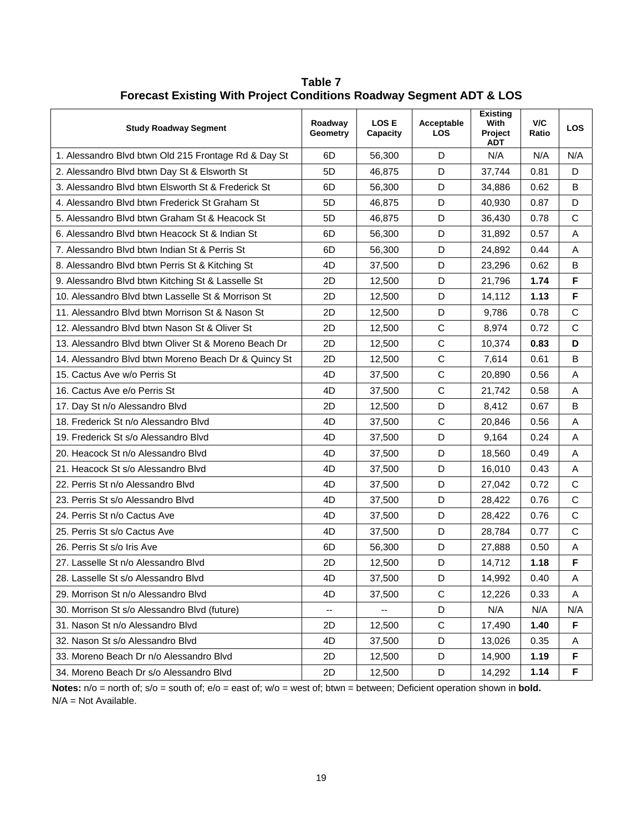| <b>Study Roadway Segment</b>                         | Roadway<br>Geometry | <b>LOSE</b><br>Capacity | Acceptable<br>LOS | <b>Existing</b><br>With<br>Project<br><b>ADT</b> | V/C<br>Ratio | <b>LOS</b>  |
|------------------------------------------------------|---------------------|-------------------------|-------------------|--------------------------------------------------|--------------|-------------|
| 1. Alessandro Blvd btwn Old 215 Frontage Rd & Day St | 6D                  | 56,300                  | D                 | N/A                                              | N/A          | N/A         |
| 2. Alessandro Blvd btwn Day St & Elsworth St         | 5D                  | 46,875                  | D                 | 37,744                                           | 0.81         | D           |
| 3. Alessandro Blvd btwn Elsworth St & Frederick St   | 6D                  | 56,300                  | D                 | 34,886                                           | 0.62         | B           |
| 4. Alessandro Blvd btwn Frederick St Graham St       | 5D                  | 46,875                  | D                 | 40,930                                           | 0.87         | D           |
| 5. Alessandro Blvd btwn Graham St & Heacock St       | 5D                  | 46,875                  | D                 | 36,430                                           | 0.78         | C           |
| 6. Alessandro Blvd btwn Heacock St & Indian St       | 6D                  | 56,300                  | D                 | 31,892                                           | 0.57         | Α           |
| 7. Alessandro Blvd btwn Indian St & Perris St        | 6D                  | 56,300                  | D                 | 24,892                                           | 0.44         | A           |
| 8. Alessandro Blvd btwn Perris St & Kitching St      | 4D                  | 37,500                  | D                 | 23,296                                           | 0.62         | В           |
| 9. Alessandro Blvd btwn Kitching St & Lasselle St    | 2D                  | 12,500                  | D                 | 21,796                                           | 1.74         | F           |
| 10. Alessandro Blyd btwn Lasselle St & Morrison St   | 2D                  | 12,500                  | D                 | 14,112                                           | 1.13         | F           |
| 11. Alessandro Blvd btwn Morrison St & Nason St      | 2D                  | 12,500                  | D                 | 9,786                                            | 0.78         | C           |
| 12. Alessandro Blvd btwn Nason St & Oliver St        | 2D                  | 12,500                  | $\mathsf C$       | 8,974                                            | 0.72         | C           |
| 13. Alessandro Blvd btwn Oliver St & Moreno Beach Dr | 2D                  | 12,500                  | $\mathsf{C}$      | 10,374                                           | 0.83         | D           |
| 14. Alessandro Blvd btwn Moreno Beach Dr & Quincy St | 2D                  | 12,500                  | $\mathbf C$       | 7,614                                            | 0.61         | B           |
| 15. Cactus Ave w/o Perris St                         | 4D                  | 37,500                  | $\mathsf{C}$      | 20,890                                           | 0.56         | Α           |
| 16. Cactus Ave e/o Perris St                         | 4D                  | 37,500                  | $\mathsf C$       | 21,742                                           | 0.58         | Α           |
| 17. Day St n/o Alessandro Blvd                       | 2D                  | 12,500                  | D                 | 8,412                                            | 0.67         | B           |
| 18. Frederick St n/o Alessandro Blvd                 | 4D                  | 37,500                  | $\mathbf C$       | 20,846                                           | 0.56         | Α           |
| 19. Frederick St s/o Alessandro Blvd                 | 4D                  | 37,500                  | D                 | 9,164                                            | 0.24         | Α           |
| 20. Heacock St n/o Alessandro Blvd                   | 4D                  | 37,500                  | D                 | 18,560                                           | 0.49         | Α           |
| 21. Heacock St s/o Alessandro Blvd                   | 4D                  | 37,500                  | D                 | 16,010                                           | 0.43         | Α           |
| 22. Perris St n/o Alessandro Blvd                    | 4D                  | 37,500                  | D                 | 27,042                                           | 0.72         | $\mathsf C$ |
| 23. Perris St s/o Alessandro Blvd                    | 4D                  | 37,500                  | D                 | 28,422                                           | 0.76         | $\mathsf C$ |
| 24. Perris St n/o Cactus Ave                         | 4D                  | 37,500                  | D                 | 28,422                                           | 0.76         | C           |
| 25. Perris St s/o Cactus Ave                         | 4D                  | 37,500                  | D                 | 28,784                                           | 0.77         | C           |
| 26. Perris St s/o Iris Ave                           | 6D                  | 56,300                  | D                 | 27,888                                           | 0.50         | Α           |
| 27. Lasselle St n/o Alessandro Blvd                  | 2D                  | 12,500                  | D                 | 14,712                                           | 1.18         | F           |
| 28. Lasselle St s/o Alessandro Blvd                  | 4D                  | 37,500                  | D                 | 14,992                                           | 0.40         | A           |
| 29. Morrison St n/o Alessandro Blvd                  | 4D                  | 37,500                  | $\mathsf C$       | 12,226                                           | 0.33         | A           |
| 30. Morrison St s/o Alessandro Blvd (future)         |                     |                         | D                 | N/A                                              | N/A          | N/A         |
| 31. Nason St n/o Alessandro Blvd                     | 2D                  | 12,500                  | $\mathsf C$       | 17,490                                           | 1.40         | F           |
| 32. Nason St s/o Alessandro Blvd                     | 4D                  | 37,500                  | D                 | 13,026                                           | 0.35         | A           |
| 33. Moreno Beach Dr n/o Alessandro Blvd              | 2D                  | 12,500                  | D                 | 14,900                                           | 1.19         | F           |
| 34. Moreno Beach Dr s/o Alessandro Blvd              | 2D                  | 12,500                  | D                 | 14,292                                           | 1.14         | F           |

**Table 7 Forecast Existing With Project Conditions Roadway Segment ADT & LOS** 

**Notes:** n/o = north of; s/o = south of; e/o = east of; w/o = west of; btwn = between; Deficient operation shown in **bold.** N/A = Not Available.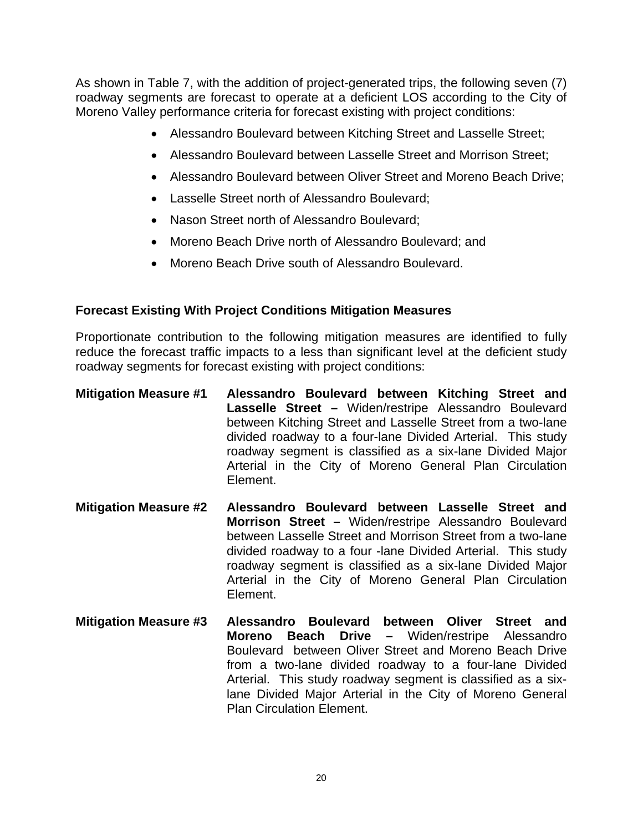As shown in Table 7, with the addition of project-generated trips, the following seven (7) roadway segments are forecast to operate at a deficient LOS according to the City of Moreno Valley performance criteria for forecast existing with project conditions:

- Alessandro Boulevard between Kitching Street and Lasselle Street;
- Alessandro Boulevard between Lasselle Street and Morrison Street;
- Alessandro Boulevard between Oliver Street and Moreno Beach Drive;
- Lasselle Street north of Alessandro Boulevard;
- Nason Street north of Alessandro Boulevard;
- Moreno Beach Drive north of Alessandro Boulevard; and
- Moreno Beach Drive south of Alessandro Boulevard.

#### **Forecast Existing With Project Conditions Mitigation Measures**

Proportionate contribution to the following mitigation measures are identified to fully reduce the forecast traffic impacts to a less than significant level at the deficient study roadway segments for forecast existing with project conditions:

- **Mitigation Measure #1 Alessandro Boulevard between Kitching Street and Lasselle Street –** Widen/restripe Alessandro Boulevard between Kitching Street and Lasselle Street from a two-lane divided roadway to a four-lane Divided Arterial. This study roadway segment is classified as a six-lane Divided Major Arterial in the City of Moreno General Plan Circulation Element.
- **Mitigation Measure #2 Alessandro Boulevard between Lasselle Street and Morrison Street –** Widen/restripe Alessandro Boulevard between Lasselle Street and Morrison Street from a two-lane divided roadway to a four -lane Divided Arterial. This study roadway segment is classified as a six-lane Divided Major Arterial in the City of Moreno General Plan Circulation Element.
- **Mitigation Measure #3 Alessandro Boulevard between Oliver Street and Moreno Beach Drive –** Widen/restripe Alessandro Boulevard between Oliver Street and Moreno Beach Drive from a two-lane divided roadway to a four-lane Divided Arterial. This study roadway segment is classified as a sixlane Divided Major Arterial in the City of Moreno General Plan Circulation Element.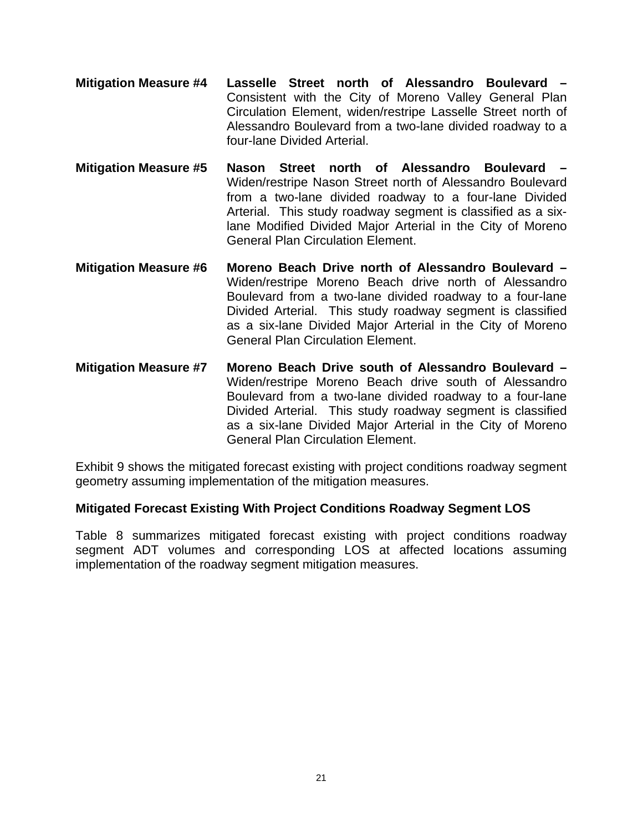- **Mitigation Measure #4 Lasselle Street north of Alessandro Boulevard**  Consistent with the City of Moreno Valley General Plan Circulation Element, widen/restripe Lasselle Street north of Alessandro Boulevard from a two-lane divided roadway to a four-lane Divided Arterial.
- **Mitigation Measure #5 Nason Street north of Alessandro Boulevard**  Widen/restripe Nason Street north of Alessandro Boulevard from a two-lane divided roadway to a four-lane Divided Arterial. This study roadway segment is classified as a sixlane Modified Divided Major Arterial in the City of Moreno General Plan Circulation Element.
- **Mitigation Measure #6 Moreno Beach Drive north of Alessandro Boulevard**  Widen/restripe Moreno Beach drive north of Alessandro Boulevard from a two-lane divided roadway to a four-lane Divided Arterial. This study roadway segment is classified as a six-lane Divided Major Arterial in the City of Moreno General Plan Circulation Element.
- **Mitigation Measure #7 Moreno Beach Drive south of Alessandro Boulevard**  Widen/restripe Moreno Beach drive south of Alessandro Boulevard from a two-lane divided roadway to a four-lane Divided Arterial. This study roadway segment is classified as a six-lane Divided Major Arterial in the City of Moreno General Plan Circulation Element.

Exhibit 9 shows the mitigated forecast existing with project conditions roadway segment geometry assuming implementation of the mitigation measures.

#### **Mitigated Forecast Existing With Project Conditions Roadway Segment LOS**

Table 8 summarizes mitigated forecast existing with project conditions roadway segment ADT volumes and corresponding LOS at affected locations assuming implementation of the roadway segment mitigation measures.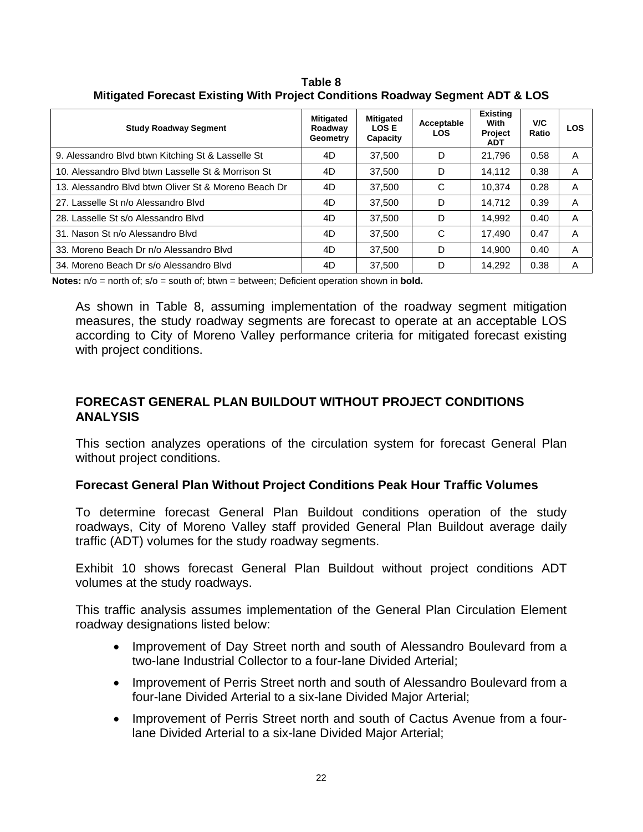| <b>Study Roadway Segment</b>                         | <b>Mitigated</b><br>Roadway<br>Geometry | <b>Mitigated</b><br><b>LOSE</b><br>Capacity | Acceptable<br><b>LOS</b> | <b>Existing</b><br>With<br>Project<br><b>ADT</b> | V/C<br>Ratio | <b>LOS</b> |
|------------------------------------------------------|-----------------------------------------|---------------------------------------------|--------------------------|--------------------------------------------------|--------------|------------|
| 9. Alessandro Blvd btwn Kitching St & Lasselle St    | 4D                                      | 37.500                                      | D                        | 21.796                                           | 0.58         | A          |
| 10. Alessandro Blyd btwn Lasselle St & Morrison St   | 4D                                      | 37.500                                      | D                        | 14.112                                           | 0.38         | A          |
| 13. Alessandro Blyd btwn Oliver St & Moreno Beach Dr | 4D                                      | 37.500                                      | C                        | 10.374                                           | 0.28         | A          |
| 27. Lasselle St n/o Alessandro Blvd                  | 4D                                      | 37.500                                      | D                        | 14.712                                           | 0.39         | A          |
| 28. Lasselle St s/o Alessandro Blvd                  | 4D                                      | 37.500                                      | D                        | 14.992                                           | 0.40         | A          |
| 31. Nason St n/o Alessandro Blvd                     | 4D                                      | 37.500                                      | C                        | 17.490                                           | 0.47         | A          |
| 33. Moreno Beach Dr n/o Alessandro Blyd              | 4D                                      | 37.500                                      | D                        | 14.900                                           | 0.40         | A          |
| 34. Moreno Beach Dr s/o Alessandro Blyd              | 4D                                      | 37.500                                      | D                        | 14.292                                           | 0.38         | A          |

**Table 8 Mitigated Forecast Existing With Project Conditions Roadway Segment ADT & LOS** 

**Notes:**  $n/o$  = north of;  $s/o$  = south of; btwn = between; Deficient operation shown in **bold.** 

As shown in Table 8, assuming implementation of the roadway segment mitigation measures, the study roadway segments are forecast to operate at an acceptable LOS according to City of Moreno Valley performance criteria for mitigated forecast existing with project conditions.

#### **FORECAST GENERAL PLAN BUILDOUT WITHOUT PROJECT CONDITIONS ANALYSIS**

This section analyzes operations of the circulation system for forecast General Plan without project conditions.

#### **Forecast General Plan Without Project Conditions Peak Hour Traffic Volumes**

To determine forecast General Plan Buildout conditions operation of the study roadways, City of Moreno Valley staff provided General Plan Buildout average daily traffic (ADT) volumes for the study roadway segments.

Exhibit 10 shows forecast General Plan Buildout without project conditions ADT volumes at the study roadways.

This traffic analysis assumes implementation of the General Plan Circulation Element roadway designations listed below:

- Improvement of Day Street north and south of Alessandro Boulevard from a two-lane Industrial Collector to a four-lane Divided Arterial;
- Improvement of Perris Street north and south of Alessandro Boulevard from a four-lane Divided Arterial to a six-lane Divided Major Arterial;
- Improvement of Perris Street north and south of Cactus Avenue from a fourlane Divided Arterial to a six-lane Divided Major Arterial;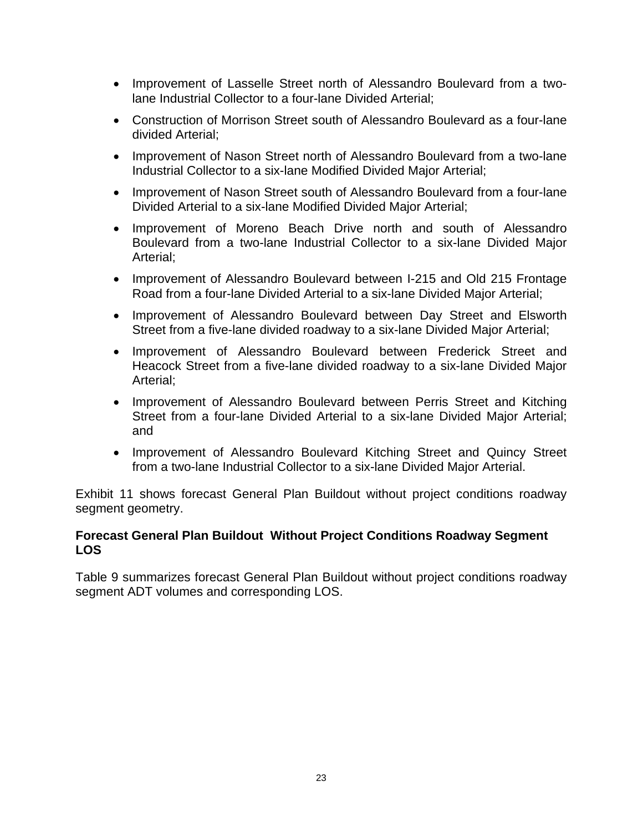- Improvement of Lasselle Street north of Alessandro Boulevard from a twolane Industrial Collector to a four-lane Divided Arterial;
- Construction of Morrison Street south of Alessandro Boulevard as a four-lane divided Arterial;
- Improvement of Nason Street north of Alessandro Boulevard from a two-lane Industrial Collector to a six-lane Modified Divided Major Arterial;
- Improvement of Nason Street south of Alessandro Boulevard from a four-lane Divided Arterial to a six-lane Modified Divided Major Arterial;
- Improvement of Moreno Beach Drive north and south of Alessandro Boulevard from a two-lane Industrial Collector to a six-lane Divided Major Arterial;
- Improvement of Alessandro Boulevard between I-215 and Old 215 Frontage Road from a four-lane Divided Arterial to a six-lane Divided Major Arterial;
- Improvement of Alessandro Boulevard between Day Street and Elsworth Street from a five-lane divided roadway to a six-lane Divided Major Arterial;
- Improvement of Alessandro Boulevard between Frederick Street and Heacock Street from a five-lane divided roadway to a six-lane Divided Major Arterial;
- Improvement of Alessandro Boulevard between Perris Street and Kitching Street from a four-lane Divided Arterial to a six-lane Divided Major Arterial; and
- Improvement of Alessandro Boulevard Kitching Street and Quincy Street from a two-lane Industrial Collector to a six-lane Divided Major Arterial.

Exhibit 11 shows forecast General Plan Buildout without project conditions roadway segment geometry.

#### **Forecast General Plan Buildout Without Project Conditions Roadway Segment LOS**

Table 9 summarizes forecast General Plan Buildout without project conditions roadway segment ADT volumes and corresponding LOS.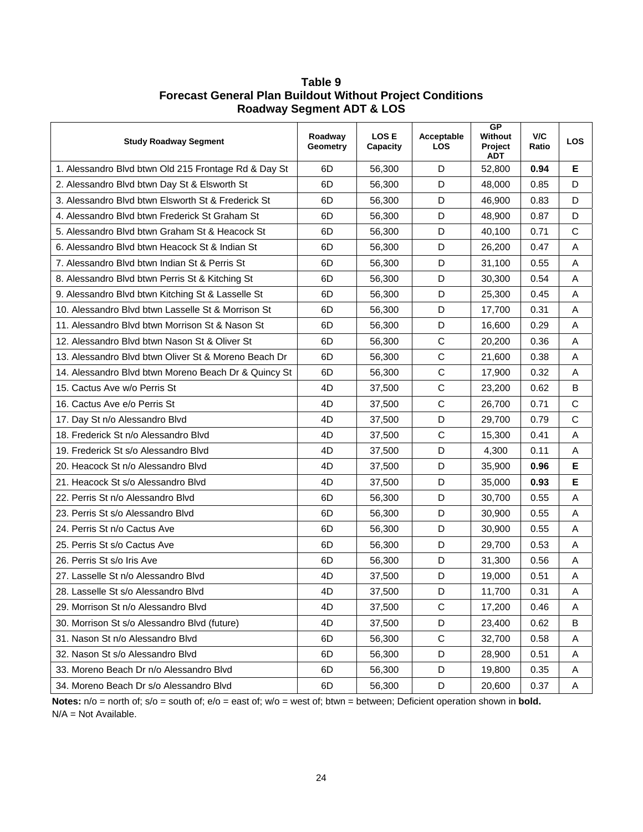| <b>Study Roadway Segment</b>                         | Roadway<br>Geometry | <b>LOSE</b><br>Capacity | Acceptable<br><b>LOS</b> | <b>GP</b><br>Without<br>Project<br><b>ADT</b> | V/C<br>Ratio | <b>LOS</b>                |
|------------------------------------------------------|---------------------|-------------------------|--------------------------|-----------------------------------------------|--------------|---------------------------|
| 1. Alessandro Blvd btwn Old 215 Frontage Rd & Day St | 6D                  | 56,300                  | D                        | 52,800                                        | 0.94         | Е                         |
| 2. Alessandro Blvd btwn Day St & Elsworth St         | 6D                  | 56,300                  | D                        | 48,000                                        | 0.85         | D                         |
| 3. Alessandro Blvd btwn Elsworth St & Frederick St   | 6D                  | 56,300                  | D                        | 46,900                                        | 0.83         | D                         |
| 4. Alessandro Blvd btwn Frederick St Graham St       | 6D                  | 56,300                  | D                        | 48,900                                        | 0.87         | D                         |
| 5. Alessandro Blvd btwn Graham St & Heacock St       | 6D                  | 56,300                  | D                        | 40,100                                        | 0.71         | C                         |
| 6. Alessandro Blvd btwn Heacock St & Indian St       | 6D                  | 56,300                  | D                        | 26,200                                        | 0.47         | Α                         |
| 7. Alessandro Blvd btwn Indian St & Perris St        | 6D                  | 56,300                  | D                        | 31,100                                        | 0.55         | A                         |
| 8. Alessandro Blvd btwn Perris St & Kitching St      | 6D                  | 56,300                  | D                        | 30,300                                        | 0.54         | Α                         |
| 9. Alessandro Blvd btwn Kitching St & Lasselle St    | 6D                  | 56,300                  | D                        | 25,300                                        | 0.45         | A                         |
| 10. Alessandro Blvd btwn Lasselle St & Morrison St   | 6D                  | 56,300                  | D                        | 17,700                                        | 0.31         | Α                         |
| 11. Alessandro Blvd btwn Morrison St & Nason St      | 6D                  | 56,300                  | D                        | 16,600                                        | 0.29         | A                         |
| 12. Alessandro Blvd btwn Nason St & Oliver St        | 6D                  | 56,300                  | C                        | 20,200                                        | 0.36         | Α                         |
| 13. Alessandro Blvd btwn Oliver St & Moreno Beach Dr | 6D                  | 56,300                  | $\mathsf{C}$             | 21,600                                        | 0.38         | A                         |
| 14. Alessandro Blvd btwn Moreno Beach Dr & Quincy St | 6D                  | 56,300                  | $\mathsf C$              | 17,900                                        | 0.32         | Α                         |
| 15. Cactus Ave w/o Perris St                         | 4D                  | 37,500                  | $\mathsf{C}$             | 23,200                                        | 0.62         | B                         |
| 16. Cactus Ave e/o Perris St                         | 4D                  | 37,500                  | $\mathbf C$              | 26,700                                        | 0.71         | C                         |
| 17. Day St n/o Alessandro Blvd                       | 4D                  | 37,500                  | D                        | 29,700                                        | 0.79         | $\mathsf{C}$              |
| 18. Frederick St n/o Alessandro Blvd                 | 4D                  | 37,500                  | $\mathsf C$              | 15,300                                        | 0.41         | Α                         |
| 19. Frederick St s/o Alessandro Blvd                 | 4D                  | 37,500                  | D                        | 4,300                                         | 0.11         | A                         |
| 20. Heacock St n/o Alessandro Blvd                   | 4D                  | 37,500                  | D                        | 35,900                                        | 0.96         | Е                         |
| 21. Heacock St s/o Alessandro Blvd                   | 4D                  | 37,500                  | D                        | 35,000                                        | 0.93         | Е                         |
| 22. Perris St n/o Alessandro Blvd                    | 6D                  | 56,300                  | D                        | 30,700                                        | 0.55         | A                         |
| 23. Perris St s/o Alessandro Blvd                    | 6D                  | 56,300                  | D                        | 30,900                                        | 0.55         | A                         |
| 24. Perris St n/o Cactus Ave                         | 6D                  | 56,300                  | D                        | 30,900                                        | 0.55         | A                         |
| 25. Perris St s/o Cactus Ave                         | 6D                  | 56,300                  | D                        | 29,700                                        | 0.53         | A                         |
| 26. Perris St s/o Iris Ave                           | 6D                  | 56,300                  | D                        | 31,300                                        | 0.56         | Α                         |
| 27. Lasselle St n/o Alessandro Blvd                  | 4D                  | 37,500                  | D                        | 19,000                                        | 0.51         | Α                         |
| 28. Lasselle St s/o Alessandro Blvd                  | 4D                  | 37,500                  | D                        | 11,700                                        | 0.31         | $\boldsymbol{\mathsf{A}}$ |
| 29. Morrison St n/o Alessandro Blvd                  | 4D                  | 37,500                  | C                        | 17,200                                        | 0.46         | A                         |
| 30. Morrison St s/o Alessandro Blvd (future)         | 4D                  | 37,500                  | D                        | 23,400                                        | 0.62         | B                         |
| 31. Nason St n/o Alessandro Blvd                     | 6D                  | 56,300                  | $\mathbf C$              | 32,700                                        | 0.58         | Α                         |
| 32. Nason St s/o Alessandro Blvd                     | 6D                  | 56,300                  | D                        | 28,900                                        | 0.51         | Α                         |
| 33. Moreno Beach Dr n/o Alessandro Blvd              | 6D                  | 56,300                  | D                        | 19,800                                        | 0.35         | Α                         |
| 34. Moreno Beach Dr s/o Alessandro Blvd              | 6D                  | 56,300                  | D                        | 20,600                                        | 0.37         | Α                         |

#### **Table 9 Forecast General Plan Buildout Without Project Conditions Roadway Segment ADT & LOS**

**Notes:** n/o = north of; s/o = south of; e/o = east of; w/o = west of; btwn = between; Deficient operation shown in **bold.** N/A = Not Available.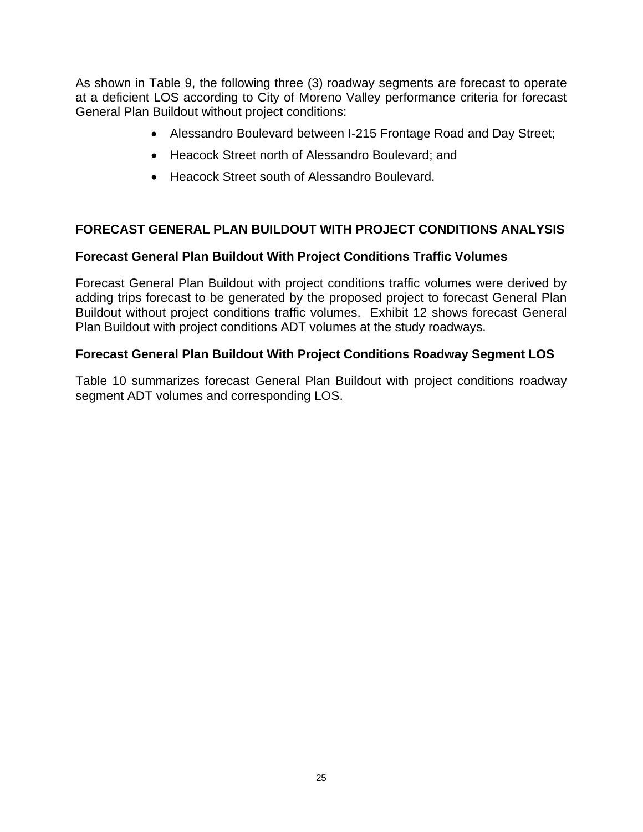As shown in Table 9, the following three (3) roadway segments are forecast to operate at a deficient LOS according to City of Moreno Valley performance criteria for forecast General Plan Buildout without project conditions:

- Alessandro Boulevard between I-215 Frontage Road and Day Street;
- Heacock Street north of Alessandro Boulevard; and
- Heacock Street south of Alessandro Boulevard.

#### **FORECAST GENERAL PLAN BUILDOUT WITH PROJECT CONDITIONS ANALYSIS**

#### **Forecast General Plan Buildout With Project Conditions Traffic Volumes**

Forecast General Plan Buildout with project conditions traffic volumes were derived by adding trips forecast to be generated by the proposed project to forecast General Plan Buildout without project conditions traffic volumes. Exhibit 12 shows forecast General Plan Buildout with project conditions ADT volumes at the study roadways.

#### **Forecast General Plan Buildout With Project Conditions Roadway Segment LOS**

Table 10 summarizes forecast General Plan Buildout with project conditions roadway segment ADT volumes and corresponding LOS.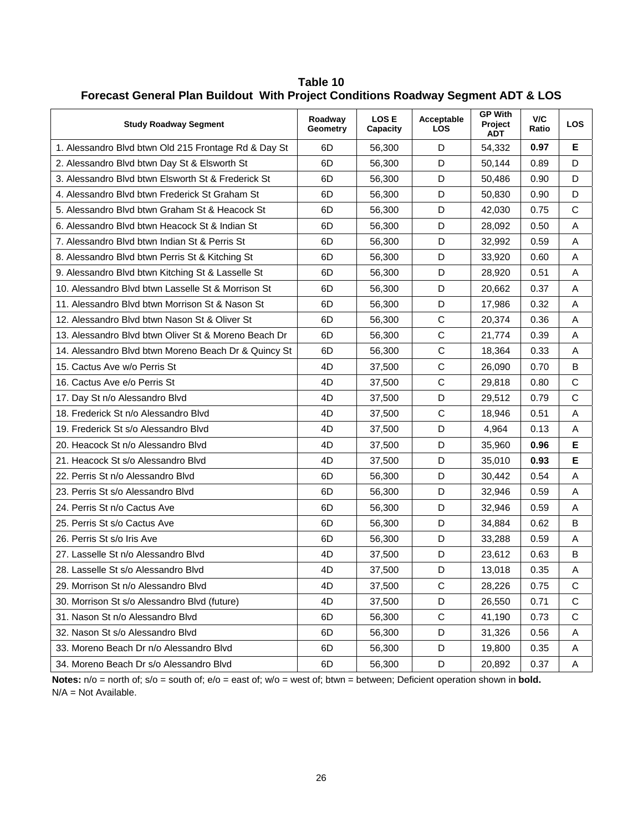| <b>Study Roadway Segment</b>                         | Roadway<br>Geometry | <b>LOSE</b><br>Capacity | Acceptable<br><b>LOS</b> | <b>GP With</b><br>Project<br><b>ADT</b> | V/C<br>Ratio | <b>LOS</b>   |
|------------------------------------------------------|---------------------|-------------------------|--------------------------|-----------------------------------------|--------------|--------------|
| 1. Alessandro Blvd btwn Old 215 Frontage Rd & Day St | 6D                  | 56,300                  | D                        | 54,332                                  | 0.97         | Е            |
| 2. Alessandro Blvd btwn Day St & Elsworth St         | 6D                  | 56,300                  | D                        | 50,144                                  | 0.89         | D            |
| 3. Alessandro Blvd btwn Elsworth St & Frederick St   | 6D                  | 56,300                  | D                        | 50,486                                  | 0.90         | D            |
| 4. Alessandro Blvd btwn Frederick St Graham St       | 6D                  | 56,300                  | D                        | 50,830                                  | 0.90         | D            |
| 5. Alessandro Blvd btwn Graham St & Heacock St       | 6D                  | 56,300                  | D                        | 42,030                                  | 0.75         | C            |
| 6. Alessandro Blvd btwn Heacock St & Indian St       | 6D                  | 56,300                  | D                        | 28,092                                  | 0.50         | A            |
| 7. Alessandro Blvd btwn Indian St & Perris St        | 6D                  | 56,300                  | D                        | 32,992                                  | 0.59         | A            |
| 8. Alessandro Blvd btwn Perris St & Kitching St      | 6D                  | 56,300                  | D                        | 33,920                                  | 0.60         | A            |
| 9. Alessandro Blvd btwn Kitching St & Lasselle St    | 6D                  | 56,300                  | D                        | 28,920                                  | 0.51         | A            |
| 10. Alessandro Blvd btwn Lasselle St & Morrison St   | 6D                  | 56,300                  | D                        | 20,662                                  | 0.37         | Α            |
| 11. Alessandro Blvd btwn Morrison St & Nason St      | 6D                  | 56,300                  | D                        | 17,986                                  | 0.32         | Α            |
| 12. Alessandro Blvd btwn Nason St & Oliver St        | 6D                  | 56,300                  | $\mathbf C$              | 20,374                                  | 0.36         | A            |
| 13. Alessandro Blvd btwn Oliver St & Moreno Beach Dr | 6D                  | 56,300                  | $\mathsf C$              | 21,774                                  | 0.39         | A            |
| 14. Alessandro Blvd btwn Moreno Beach Dr & Quincy St | 6D                  | 56,300                  | $\mathsf C$              | 18,364                                  | 0.33         | A            |
| 15. Cactus Ave w/o Perris St                         | 4D                  | 37,500                  | $\mathsf C$              | 26,090                                  | 0.70         | В            |
| 16. Cactus Ave e/o Perris St                         | 4D                  | 37,500                  | $\mathsf C$              | 29,818                                  | 0.80         | $\mathbf C$  |
| 17. Day St n/o Alessandro Blvd                       | 4D                  | 37,500                  | D                        | 29,512                                  | 0.79         | $\mathsf{C}$ |
| 18. Frederick St n/o Alessandro Blvd                 | 4D                  | 37,500                  | $\mathsf C$              | 18,946                                  | 0.51         | A            |
| 19. Frederick St s/o Alessandro Blvd                 | 4D                  | 37,500                  | D                        | 4,964                                   | 0.13         | Α            |
| 20. Heacock St n/o Alessandro Blvd                   | 4D                  | 37,500                  | D                        | 35,960                                  | 0.96         | Е            |
| 21. Heacock St s/o Alessandro Blvd                   | 4D                  | 37,500                  | D                        | 35,010                                  | 0.93         | Е            |
| 22. Perris St n/o Alessandro Blvd                    | 6D                  | 56,300                  | D                        | 30,442                                  | 0.54         | A            |
| 23. Perris St s/o Alessandro Blvd                    | 6D                  | 56,300                  | D                        | 32,946                                  | 0.59         | Α            |
| 24. Perris St n/o Cactus Ave                         | 6D                  | 56,300                  | D                        | 32,946                                  | 0.59         | Α            |
| 25. Perris St s/o Cactus Ave                         | 6D                  | 56,300                  | D                        | 34,884                                  | 0.62         | B            |
| 26. Perris St s/o Iris Ave                           | 6D                  | 56,300                  | D                        | 33,288                                  | 0.59         | A            |
| 27. Lasselle St n/o Alessandro Blvd                  | 4D                  | 37,500                  | D                        | 23,612                                  | 0.63         | B            |
| 28. Lasselle St s/o Alessandro Blvd                  | 4D                  | 37,500                  | D                        | 13,018                                  | 0.35         | A            |
| 29. Morrison St n/o Alessandro Blvd                  | 4D                  | 37,500                  | С                        | 28,226                                  | 0.75         | С            |
| 30. Morrison St s/o Alessandro Blvd (future)         | 4D                  | 37,500                  | D                        | 26,550                                  | 0.71         | С            |
| 31. Nason St n/o Alessandro Blvd                     | 6D                  | 56,300                  | C                        | 41,190                                  | 0.73         | С            |
| 32. Nason St s/o Alessandro Blvd                     | 6D                  | 56,300                  | D                        | 31,326                                  | 0.56         | Α            |
| 33. Moreno Beach Dr n/o Alessandro Blyd              | 6D                  | 56,300                  | D                        | 19,800                                  | 0.35         | Α            |
| 34. Moreno Beach Dr s/o Alessandro Blvd              | 6D                  | 56,300                  | D                        | 20,892                                  | 0.37         | Α            |

**Table 10 Forecast General Plan Buildout With Project Conditions Roadway Segment ADT & LOS** 

**Notes:** n/o = north of; s/o = south of; e/o = east of; w/o = west of; btwn = between; Deficient operation shown in **bold.** N/A = Not Available.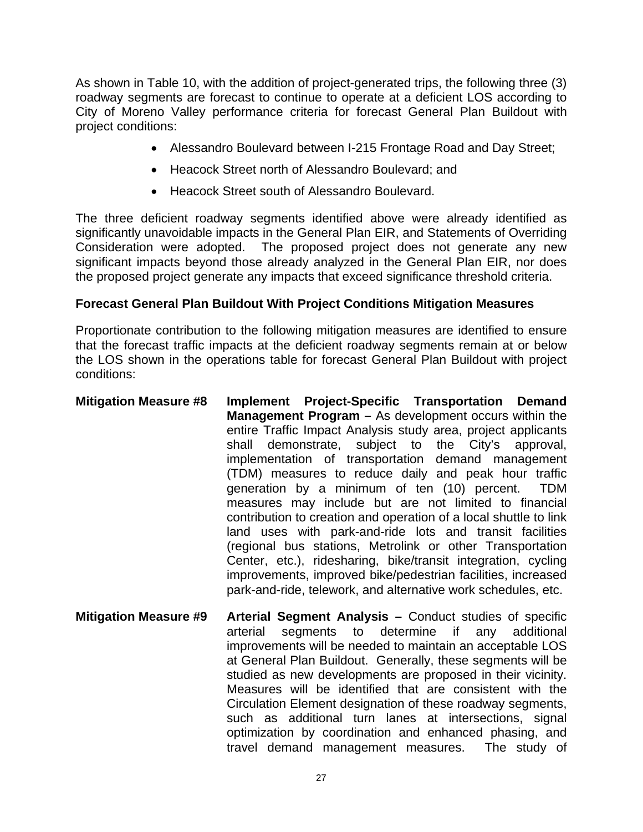As shown in Table 10, with the addition of project-generated trips, the following three (3) roadway segments are forecast to continue to operate at a deficient LOS according to City of Moreno Valley performance criteria for forecast General Plan Buildout with project conditions:

- Alessandro Boulevard between I-215 Frontage Road and Day Street;
- Heacock Street north of Alessandro Boulevard; and
- Heacock Street south of Alessandro Boulevard.

The three deficient roadway segments identified above were already identified as significantly unavoidable impacts in the General Plan EIR, and Statements of Overriding Consideration were adopted. The proposed project does not generate any new significant impacts beyond those already analyzed in the General Plan EIR, nor does the proposed project generate any impacts that exceed significance threshold criteria.

#### **Forecast General Plan Buildout With Project Conditions Mitigation Measures**

Proportionate contribution to the following mitigation measures are identified to ensure that the forecast traffic impacts at the deficient roadway segments remain at or below the LOS shown in the operations table for forecast General Plan Buildout with project conditions:

- **Mitigation Measure #8 Implement Project-Specific Transportation Demand Management Program –** As development occurs within the entire Traffic Impact Analysis study area, project applicants shall demonstrate, subject to the City's approval, implementation of transportation demand management (TDM) measures to reduce daily and peak hour traffic generation by a minimum of ten (10) percent. TDM measures may include but are not limited to financial contribution to creation and operation of a local shuttle to link land uses with park-and-ride lots and transit facilities (regional bus stations, Metrolink or other Transportation Center, etc.), ridesharing, bike/transit integration, cycling improvements, improved bike/pedestrian facilities, increased park-and-ride, telework, and alternative work schedules, etc.
- **Mitigation Measure #9 Arterial Segment Analysis –** Conduct studies of specific arterial segments to determine if any additional improvements will be needed to maintain an acceptable LOS at General Plan Buildout. Generally, these segments will be studied as new developments are proposed in their vicinity. Measures will be identified that are consistent with the Circulation Element designation of these roadway segments, such as additional turn lanes at intersections, signal optimization by coordination and enhanced phasing, and travel demand management measures. The study of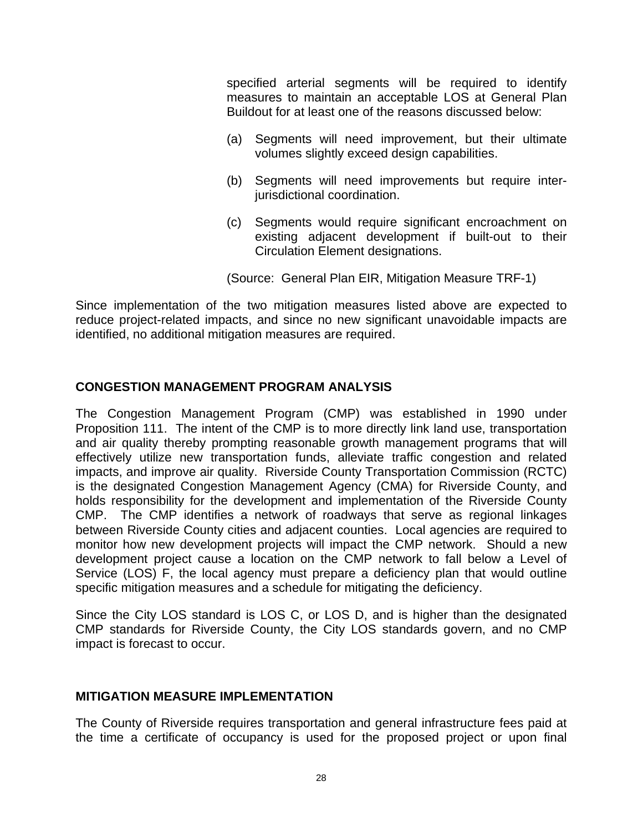specified arterial segments will be required to identify measures to maintain an acceptable LOS at General Plan Buildout for at least one of the reasons discussed below:

- (a) Segments will need improvement, but their ultimate volumes slightly exceed design capabilities.
- (b) Segments will need improvements but require interjurisdictional coordination.
- (c) Segments would require significant encroachment on existing adjacent development if built-out to their Circulation Element designations.

(Source: General Plan EIR, Mitigation Measure TRF-1)

Since implementation of the two mitigation measures listed above are expected to reduce project-related impacts, and since no new significant unavoidable impacts are identified, no additional mitigation measures are required.

#### **CONGESTION MANAGEMENT PROGRAM ANALYSIS**

The Congestion Management Program (CMP) was established in 1990 under Proposition 111. The intent of the CMP is to more directly link land use, transportation and air quality thereby prompting reasonable growth management programs that will effectively utilize new transportation funds, alleviate traffic congestion and related impacts, and improve air quality. Riverside County Transportation Commission (RCTC) is the designated Congestion Management Agency (CMA) for Riverside County, and holds responsibility for the development and implementation of the Riverside County CMP. The CMP identifies a network of roadways that serve as regional linkages between Riverside County cities and adjacent counties. Local agencies are required to monitor how new development projects will impact the CMP network. Should a new development project cause a location on the CMP network to fall below a Level of Service (LOS) F, the local agency must prepare a deficiency plan that would outline specific mitigation measures and a schedule for mitigating the deficiency.

Since the City LOS standard is LOS C, or LOS D, and is higher than the designated CMP standards for Riverside County, the City LOS standards govern, and no CMP impact is forecast to occur.

#### **MITIGATION MEASURE IMPLEMENTATION**

The County of Riverside requires transportation and general infrastructure fees paid at the time a certificate of occupancy is used for the proposed project or upon final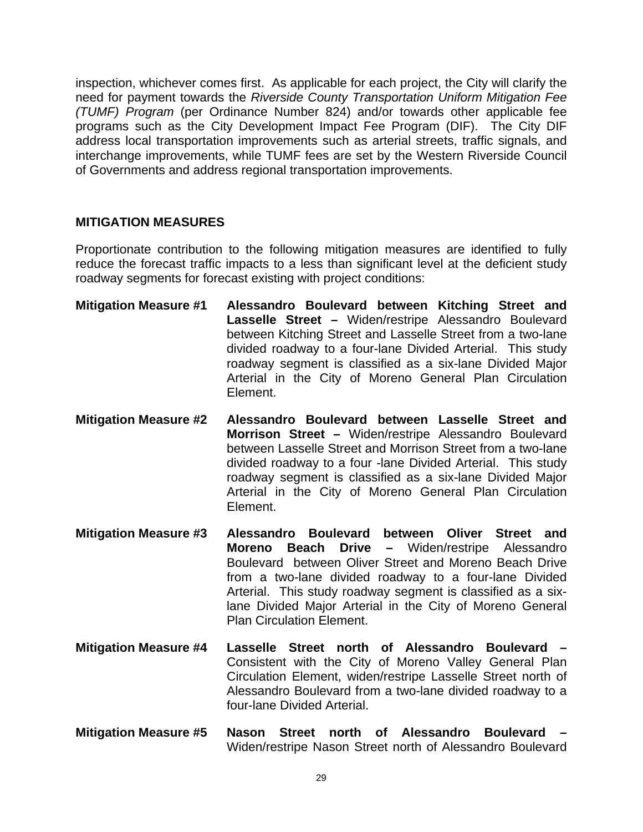inspection, whichever comes first. As applicable for each project, the City will clarify the need for payment towards the *Riverside County Transportation Uniform Mitigation Fee (TUMF) Program* (per Ordinance Number 824) and/or towards other applicable fee programs such as the City Development Impact Fee Program (DIF). The City DIF address local transportation improvements such as arterial streets, traffic signals, and interchange improvements, while TUMF fees are set by the Western Riverside Council of Governments and address regional transportation improvements.

#### **MITIGATION MEASURES**

Proportionate contribution to the following mitigation measures are identified to fully reduce the forecast traffic impacts to a less than significant level at the deficient study roadway segments for forecast existing with project conditions:

- **Mitigation Measure #1 Alessandro Boulevard between Kitching Street and Lasselle Street –** Widen/restripe Alessandro Boulevard between Kitching Street and Lasselle Street from a two-lane divided roadway to a four-lane Divided Arterial. This study roadway segment is classified as a six-lane Divided Major Arterial in the City of Moreno General Plan Circulation Element.
- **Mitigation Measure #2 Alessandro Boulevard between Lasselle Street and Morrison Street –** Widen/restripe Alessandro Boulevard between Lasselle Street and Morrison Street from a two-lane divided roadway to a four -lane Divided Arterial. This study roadway segment is classified as a six-lane Divided Major Arterial in the City of Moreno General Plan Circulation Element.
- **Mitigation Measure #3 Alessandro Boulevard between Oliver Street and Moreno Beach Drive –** Widen/restripe Alessandro Boulevard between Oliver Street and Moreno Beach Drive from a two-lane divided roadway to a four-lane Divided Arterial. This study roadway segment is classified as a sixlane Divided Major Arterial in the City of Moreno General Plan Circulation Element.
- **Mitigation Measure #4 Lasselle Street north of Alessandro Boulevard**  Consistent with the City of Moreno Valley General Plan Circulation Element, widen/restripe Lasselle Street north of Alessandro Boulevard from a two-lane divided roadway to a four-lane Divided Arterial.
- **Mitigation Measure #5 Nason Street north of Alessandro Boulevard**  Widen/restripe Nason Street north of Alessandro Boulevard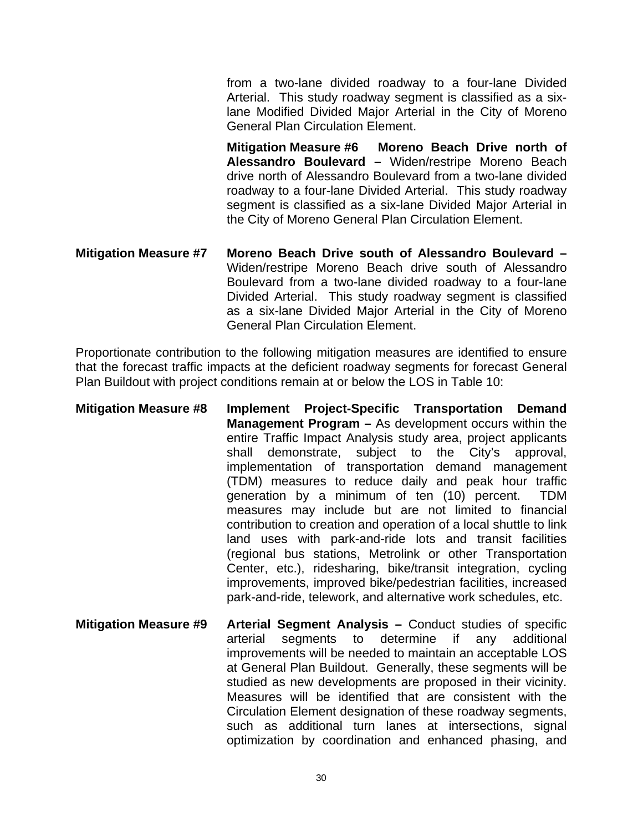from a two-lane divided roadway to a four-lane Divided Arterial. This study roadway segment is classified as a sixlane Modified Divided Major Arterial in the City of Moreno General Plan Circulation Element.

**Mitigation Measure #6 Moreno Beach Drive north of Alessandro Boulevard –** Widen/restripe Moreno Beach drive north of Alessandro Boulevard from a two-lane divided roadway to a four-lane Divided Arterial. This study roadway segment is classified as a six-lane Divided Major Arterial in the City of Moreno General Plan Circulation Element.

**Mitigation Measure #7 Moreno Beach Drive south of Alessandro Boulevard –**  Widen/restripe Moreno Beach drive south of Alessandro Boulevard from a two-lane divided roadway to a four-lane Divided Arterial. This study roadway segment is classified as a six-lane Divided Major Arterial in the City of Moreno General Plan Circulation Element.

Proportionate contribution to the following mitigation measures are identified to ensure that the forecast traffic impacts at the deficient roadway segments for forecast General Plan Buildout with project conditions remain at or below the LOS in Table 10:

- **Mitigation Measure #8 Implement Project-Specific Transportation Demand Management Program –** As development occurs within the entire Traffic Impact Analysis study area, project applicants shall demonstrate, subject to the City's approval, implementation of transportation demand management (TDM) measures to reduce daily and peak hour traffic generation by a minimum of ten (10) percent. TDM measures may include but are not limited to financial contribution to creation and operation of a local shuttle to link land uses with park-and-ride lots and transit facilities (regional bus stations, Metrolink or other Transportation Center, etc.), ridesharing, bike/transit integration, cycling improvements, improved bike/pedestrian facilities, increased park-and-ride, telework, and alternative work schedules, etc.
- **Mitigation Measure #9 Arterial Segment Analysis –** Conduct studies of specific arterial segments to determine if any additional improvements will be needed to maintain an acceptable LOS at General Plan Buildout. Generally, these segments will be studied as new developments are proposed in their vicinity. Measures will be identified that are consistent with the Circulation Element designation of these roadway segments, such as additional turn lanes at intersections, signal optimization by coordination and enhanced phasing, and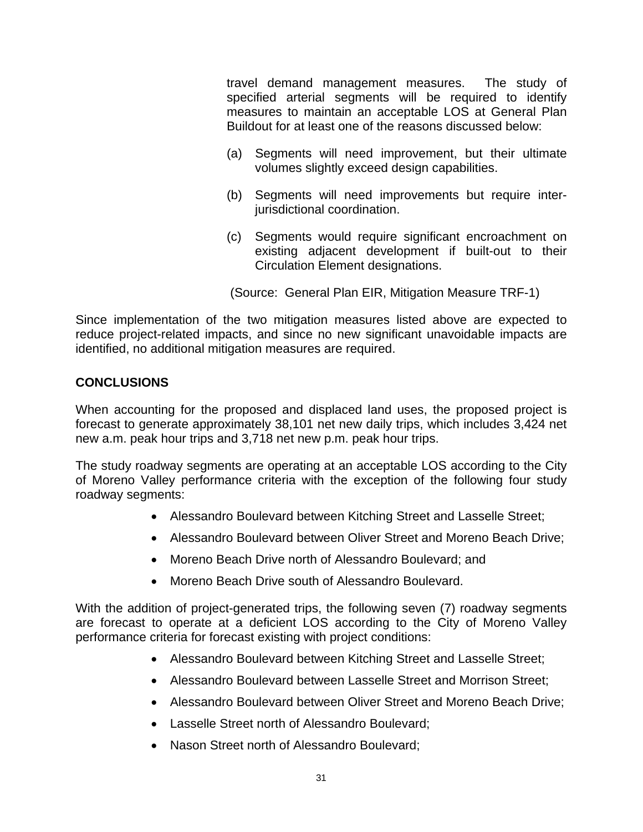travel demand management measures. The study of specified arterial segments will be required to identify measures to maintain an acceptable LOS at General Plan Buildout for at least one of the reasons discussed below:

- (a) Segments will need improvement, but their ultimate volumes slightly exceed design capabilities.
- (b) Segments will need improvements but require interjurisdictional coordination.
- (c) Segments would require significant encroachment on existing adjacent development if built-out to their Circulation Element designations.

(Source: General Plan EIR, Mitigation Measure TRF-1)

Since implementation of the two mitigation measures listed above are expected to reduce project-related impacts, and since no new significant unavoidable impacts are identified, no additional mitigation measures are required.

#### **CONCLUSIONS**

When accounting for the proposed and displaced land uses, the proposed project is forecast to generate approximately 38,101 net new daily trips, which includes 3,424 net new a.m. peak hour trips and 3,718 net new p.m. peak hour trips.

The study roadway segments are operating at an acceptable LOS according to the City of Moreno Valley performance criteria with the exception of the following four study roadway segments:

- Alessandro Boulevard between Kitching Street and Lasselle Street;
- Alessandro Boulevard between Oliver Street and Moreno Beach Drive;
- Moreno Beach Drive north of Alessandro Boulevard; and
- Moreno Beach Drive south of Alessandro Boulevard.

With the addition of project-generated trips, the following seven (7) roadway segments are forecast to operate at a deficient LOS according to the City of Moreno Valley performance criteria for forecast existing with project conditions:

- Alessandro Boulevard between Kitching Street and Lasselle Street;
- Alessandro Boulevard between Lasselle Street and Morrison Street;
- Alessandro Boulevard between Oliver Street and Moreno Beach Drive;
- Lasselle Street north of Alessandro Boulevard;
- Nason Street north of Alessandro Boulevard;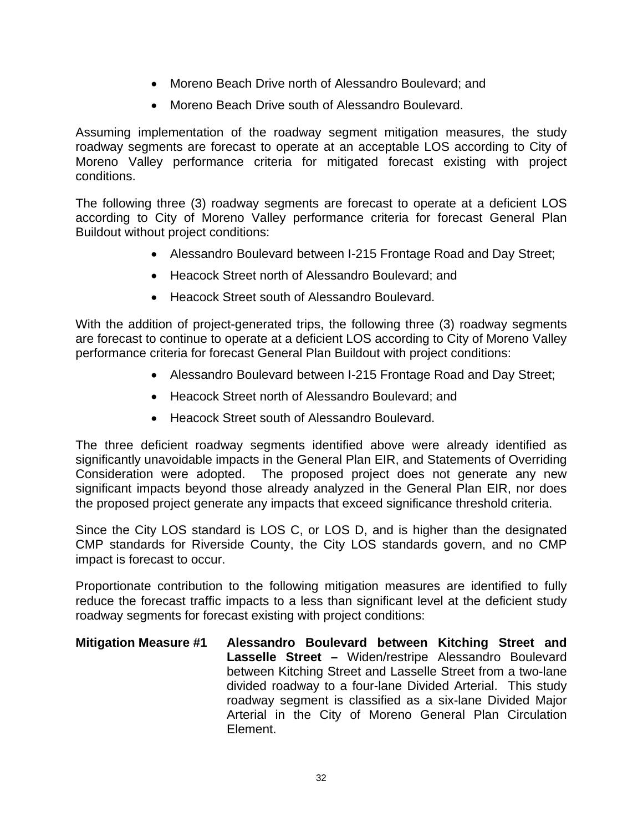- Moreno Beach Drive north of Alessandro Boulevard; and
- Moreno Beach Drive south of Alessandro Boulevard.

Assuming implementation of the roadway segment mitigation measures, the study roadway segments are forecast to operate at an acceptable LOS according to City of Moreno Valley performance criteria for mitigated forecast existing with project conditions.

The following three (3) roadway segments are forecast to operate at a deficient LOS according to City of Moreno Valley performance criteria for forecast General Plan Buildout without project conditions:

- Alessandro Boulevard between I-215 Frontage Road and Day Street;
- Heacock Street north of Alessandro Boulevard; and
- Heacock Street south of Alessandro Boulevard.

With the addition of project-generated trips, the following three (3) roadway segments are forecast to continue to operate at a deficient LOS according to City of Moreno Valley performance criteria for forecast General Plan Buildout with project conditions:

- Alessandro Boulevard between I-215 Frontage Road and Day Street;
- Heacock Street north of Alessandro Boulevard; and
- Heacock Street south of Alessandro Boulevard.

The three deficient roadway segments identified above were already identified as significantly unavoidable impacts in the General Plan EIR, and Statements of Overriding Consideration were adopted. The proposed project does not generate any new significant impacts beyond those already analyzed in the General Plan EIR, nor does the proposed project generate any impacts that exceed significance threshold criteria.

Since the City LOS standard is LOS C, or LOS D, and is higher than the designated CMP standards for Riverside County, the City LOS standards govern, and no CMP impact is forecast to occur.

Proportionate contribution to the following mitigation measures are identified to fully reduce the forecast traffic impacts to a less than significant level at the deficient study roadway segments for forecast existing with project conditions:

**Mitigation Measure #1 Alessandro Boulevard between Kitching Street and Lasselle Street –** Widen/restripe Alessandro Boulevard between Kitching Street and Lasselle Street from a two-lane divided roadway to a four-lane Divided Arterial. This study roadway segment is classified as a six-lane Divided Major Arterial in the City of Moreno General Plan Circulation Element.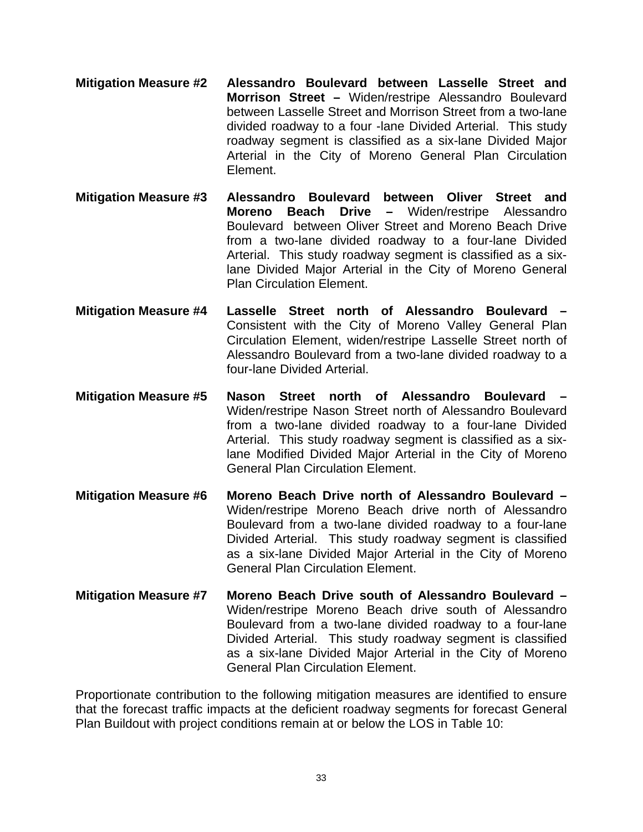- **Mitigation Measure #2 Alessandro Boulevard between Lasselle Street and Morrison Street –** Widen/restripe Alessandro Boulevard between Lasselle Street and Morrison Street from a two-lane divided roadway to a four -lane Divided Arterial. This study roadway segment is classified as a six-lane Divided Major Arterial in the City of Moreno General Plan Circulation Element.
- **Mitigation Measure #3 Alessandro Boulevard between Oliver Street and Moreno Beach Drive –** Widen/restripe Alessandro Boulevard between Oliver Street and Moreno Beach Drive from a two-lane divided roadway to a four-lane Divided Arterial. This study roadway segment is classified as a sixlane Divided Major Arterial in the City of Moreno General Plan Circulation Element.
- **Mitigation Measure #4 Lasselle Street north of Alessandro Boulevard**  Consistent with the City of Moreno Valley General Plan Circulation Element, widen/restripe Lasselle Street north of Alessandro Boulevard from a two-lane divided roadway to a four-lane Divided Arterial.
- **Mitigation Measure #5 Nason Street north of Alessandro Boulevard**  Widen/restripe Nason Street north of Alessandro Boulevard from a two-lane divided roadway to a four-lane Divided Arterial. This study roadway segment is classified as a sixlane Modified Divided Major Arterial in the City of Moreno General Plan Circulation Element.
- **Mitigation Measure #6 Moreno Beach Drive north of Alessandro Boulevard**  Widen/restripe Moreno Beach drive north of Alessandro Boulevard from a two-lane divided roadway to a four-lane Divided Arterial. This study roadway segment is classified as a six-lane Divided Major Arterial in the City of Moreno General Plan Circulation Element.
- **Mitigation Measure #7 Moreno Beach Drive south of Alessandro Boulevard**  Widen/restripe Moreno Beach drive south of Alessandro Boulevard from a two-lane divided roadway to a four-lane Divided Arterial. This study roadway segment is classified as a six-lane Divided Major Arterial in the City of Moreno General Plan Circulation Element.

Proportionate contribution to the following mitigation measures are identified to ensure that the forecast traffic impacts at the deficient roadway segments for forecast General Plan Buildout with project conditions remain at or below the LOS in Table 10: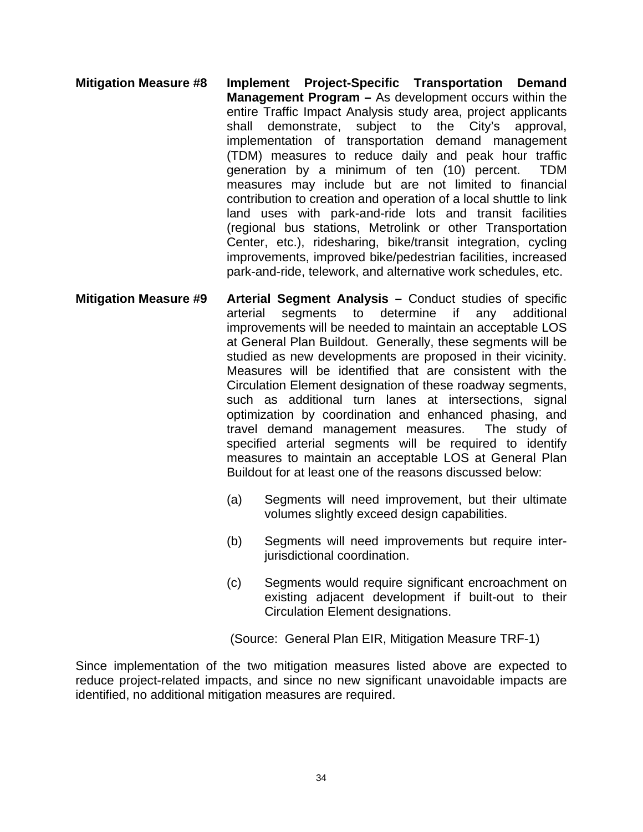- **Mitigation Measure #8 Implement Project-Specific Transportation Demand Management Program –** As development occurs within the entire Traffic Impact Analysis study area, project applicants shall demonstrate, subject to the City's approval, implementation of transportation demand management (TDM) measures to reduce daily and peak hour traffic generation by a minimum of ten (10) percent. TDM measures may include but are not limited to financial contribution to creation and operation of a local shuttle to link land uses with park-and-ride lots and transit facilities (regional bus stations, Metrolink or other Transportation Center, etc.), ridesharing, bike/transit integration, cycling improvements, improved bike/pedestrian facilities, increased park-and-ride, telework, and alternative work schedules, etc.
- **Mitigation Measure #9 Arterial Segment Analysis –** Conduct studies of specific arterial segments to determine if any additional improvements will be needed to maintain an acceptable LOS at General Plan Buildout. Generally, these segments will be studied as new developments are proposed in their vicinity. Measures will be identified that are consistent with the Circulation Element designation of these roadway segments, such as additional turn lanes at intersections, signal optimization by coordination and enhanced phasing, and travel demand management measures. The study of specified arterial segments will be required to identify measures to maintain an acceptable LOS at General Plan Buildout for at least one of the reasons discussed below:
	- (a) Segments will need improvement, but their ultimate volumes slightly exceed design capabilities.
	- (b) Segments will need improvements but require interjurisdictional coordination.
	- (c) Segments would require significant encroachment on existing adjacent development if built-out to their Circulation Element designations.

(Source: General Plan EIR, Mitigation Measure TRF-1)

Since implementation of the two mitigation measures listed above are expected to reduce project-related impacts, and since no new significant unavoidable impacts are identified, no additional mitigation measures are required.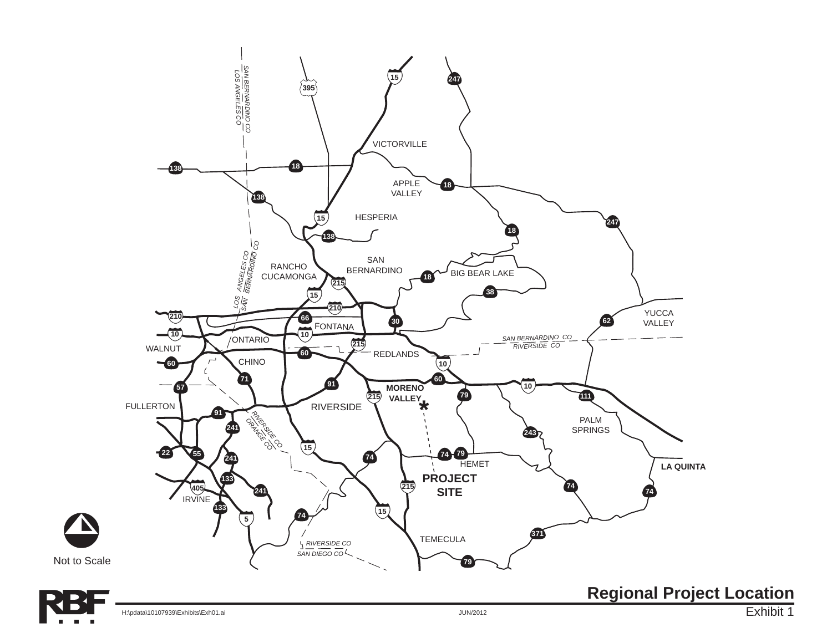

 $\mathbf{\Delta}$ 

Exhibit 1 **Regional Project Location**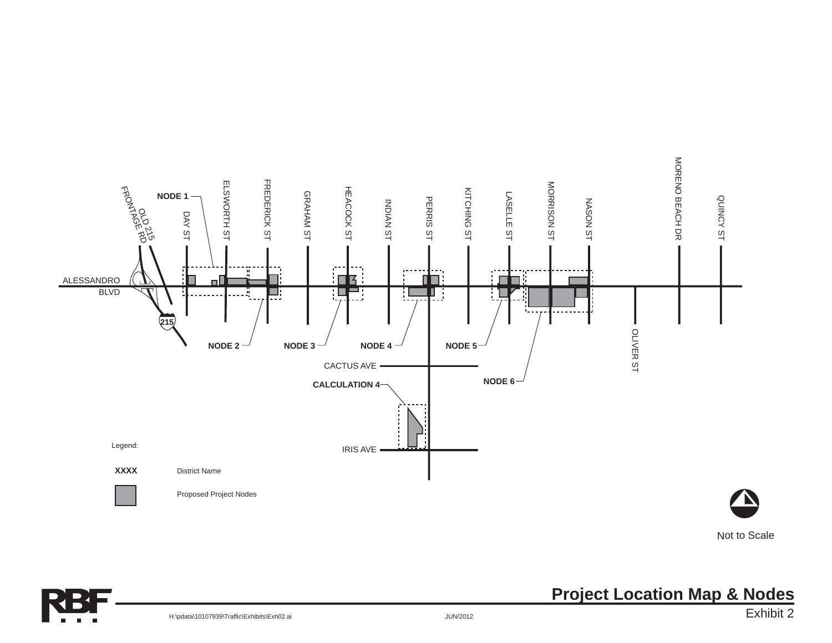

Not to Scale



H:\pdata\10107939\Traffic\Exhibits\Exh02.ai

### **Project Location Map & Nodes**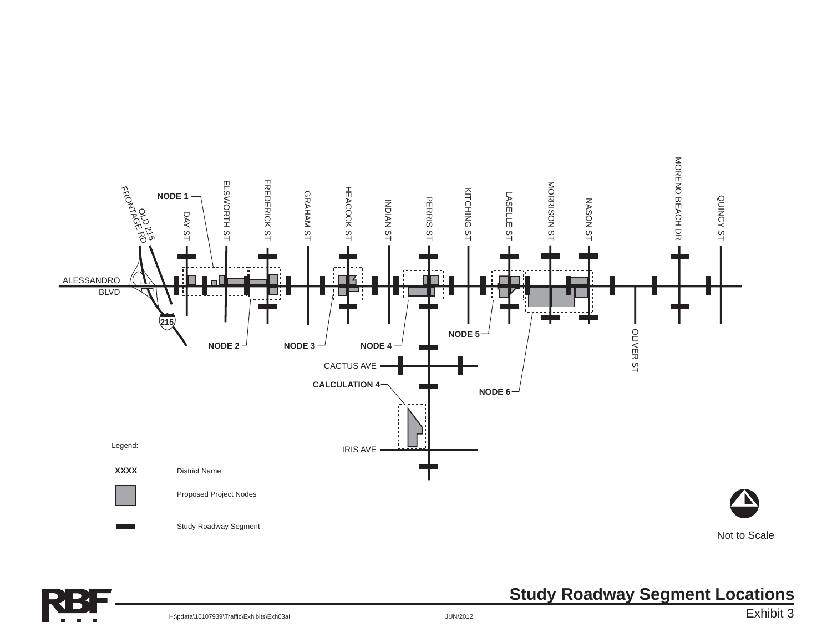



# **Study Roadway Segment Locations**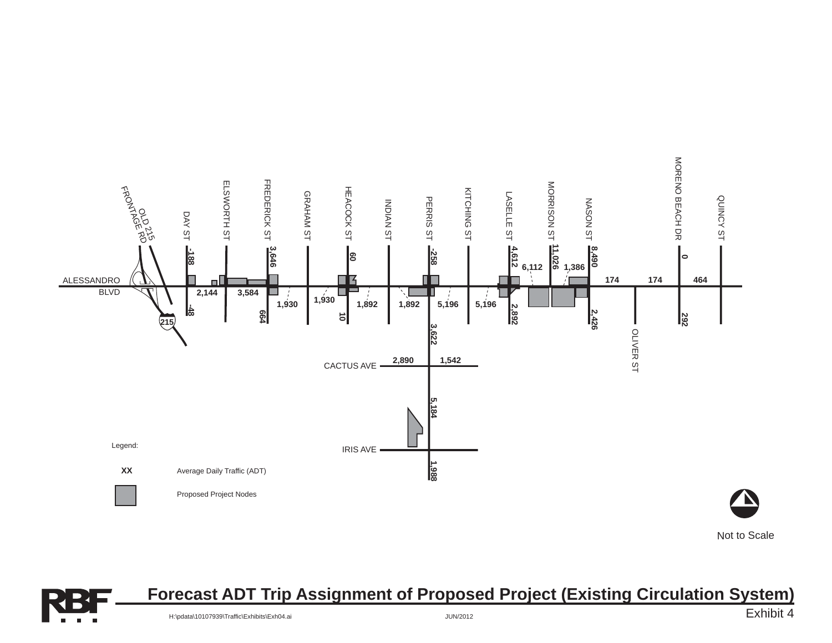

Not to Scale



### **Forecast ADT Trip Assignment of Proposed Project (Existing Circulation System)**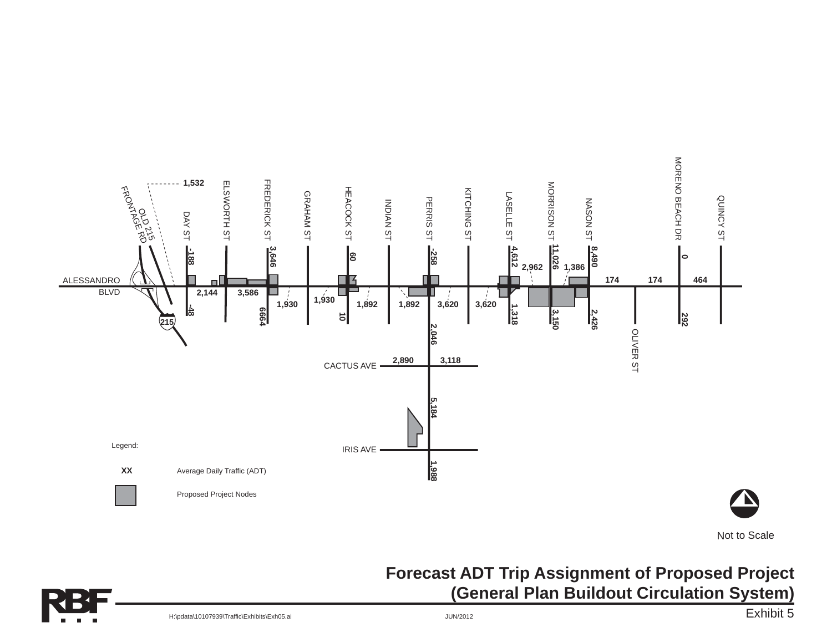

### **Forecast ADT Trip Assignment of Proposed Project (General Plan Buildout Circulation System)**



Exhibit 5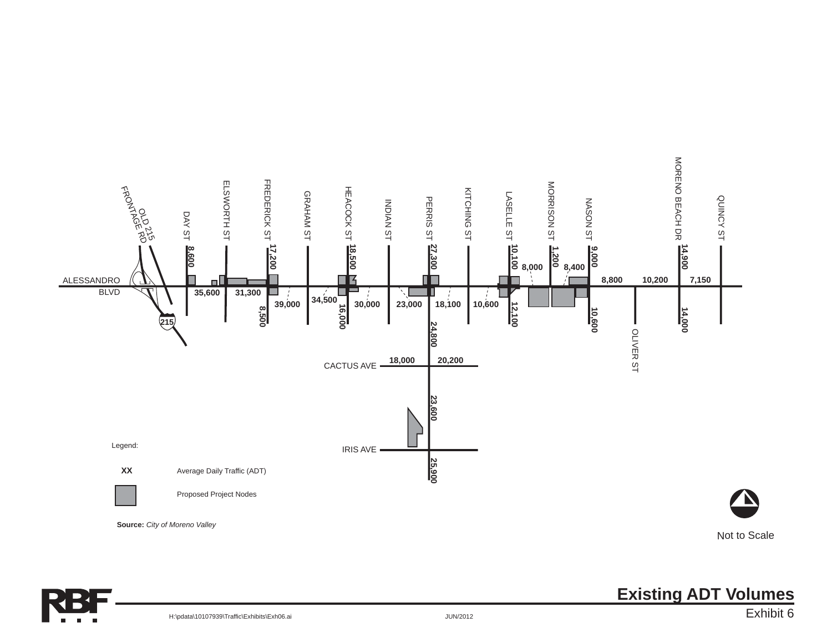



**Existing ADT Volumes**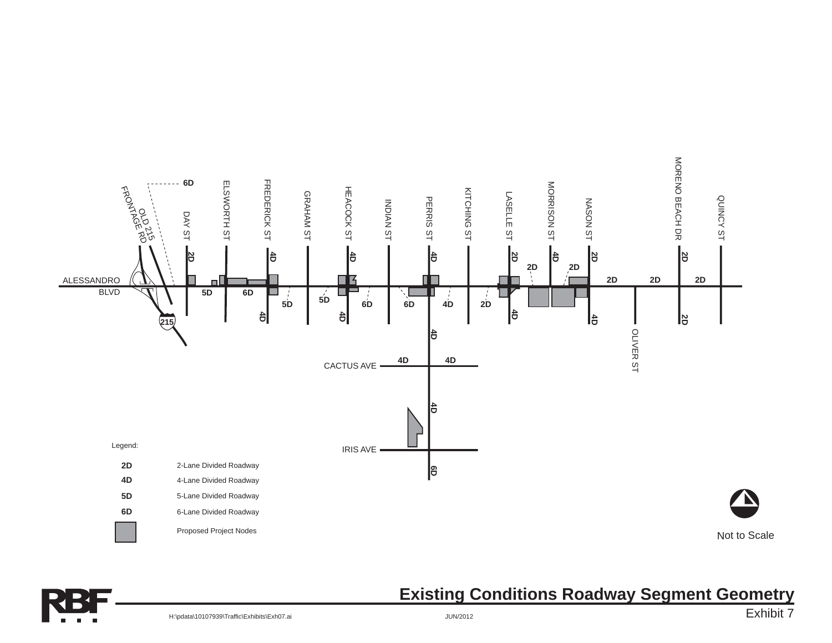



### **Existing Conditions Roadway Segment Geometry**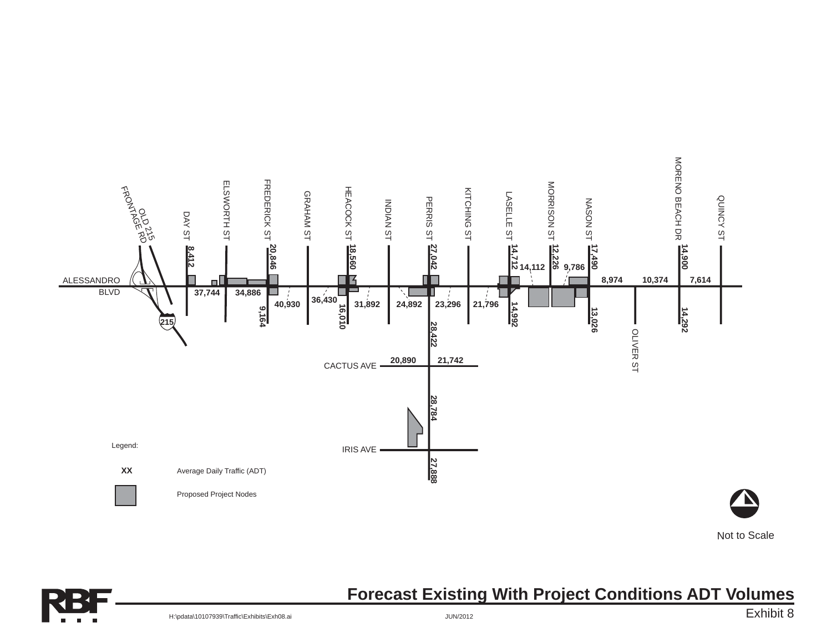

Not to Scale



### **Forecast Existing With Project Conditions ADT Volumes**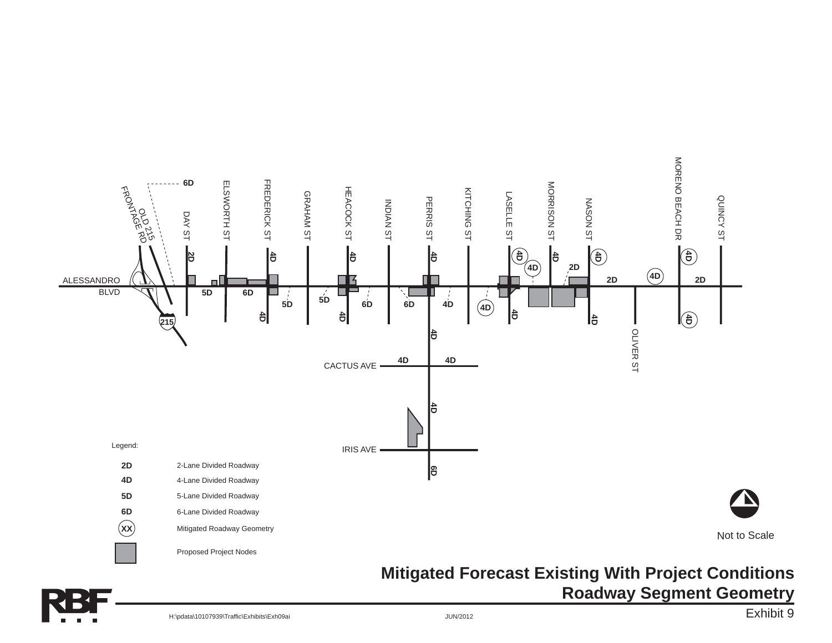

**Roadway Segment Geometry**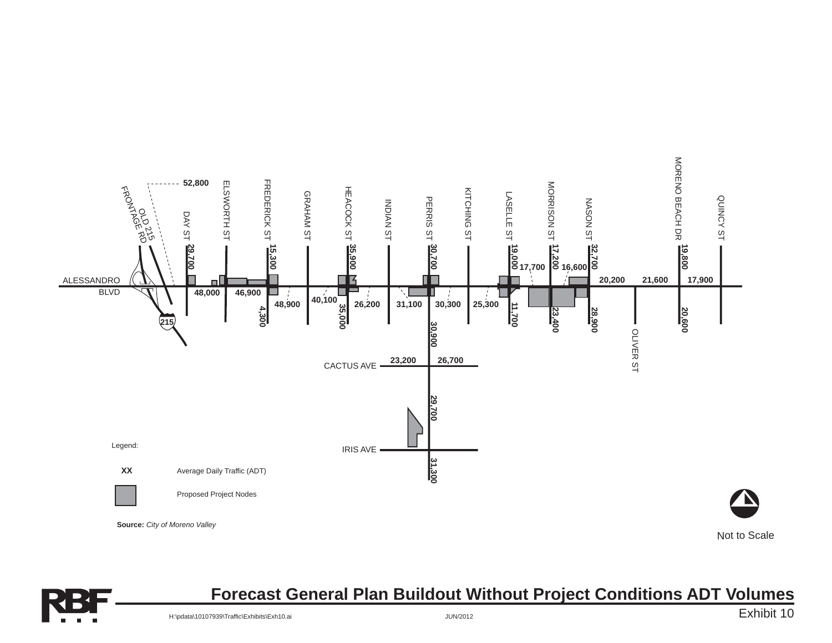



### **Forecast General Plan Buildout Without Project Conditions ADT Volumes**

Exhibit 10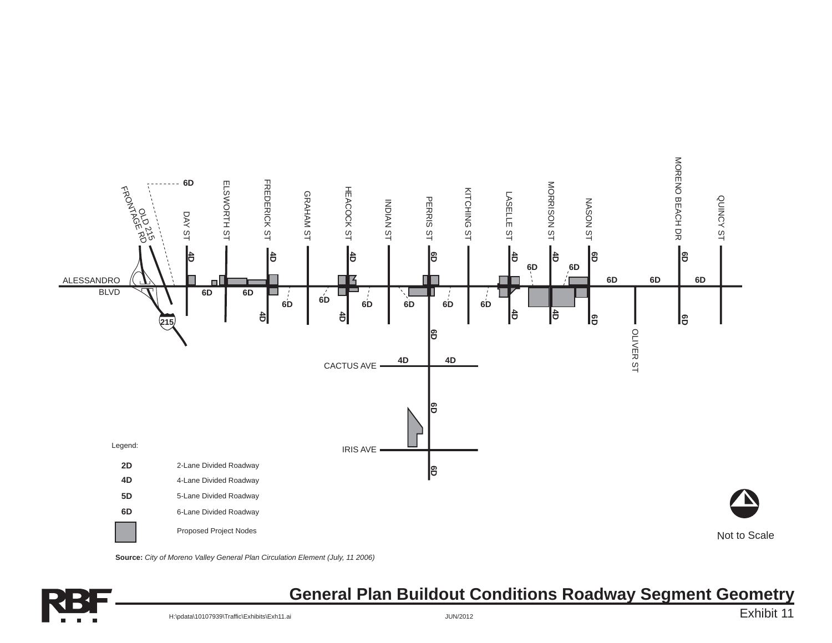

**Source:** *City of Moreno Valley General Plan Circulation Element (July, 11 2006)*



### **General Plan Buildout Conditions Roadway Segment Geometry**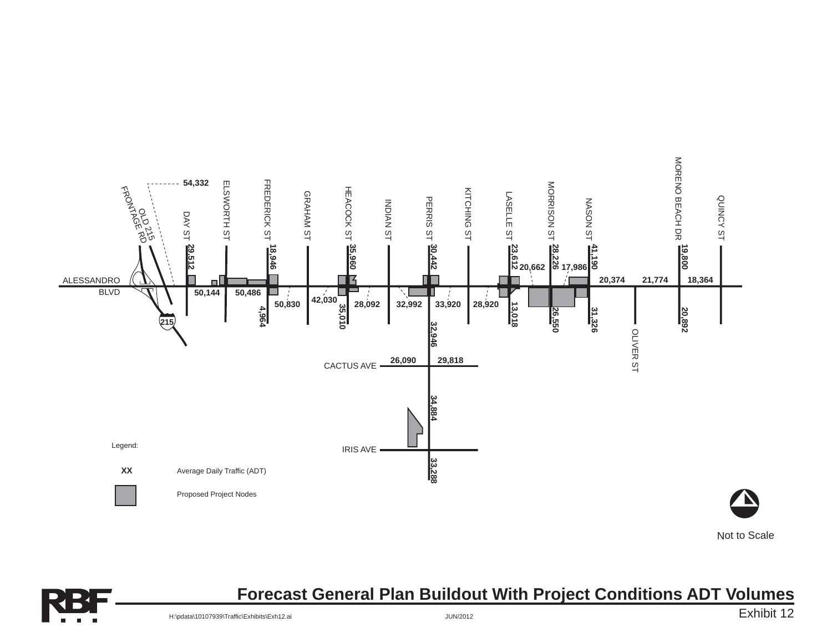

Not to Scale



### **Forecast General Plan Buildout With Project Conditions ADT Volumes**

Exhibit 12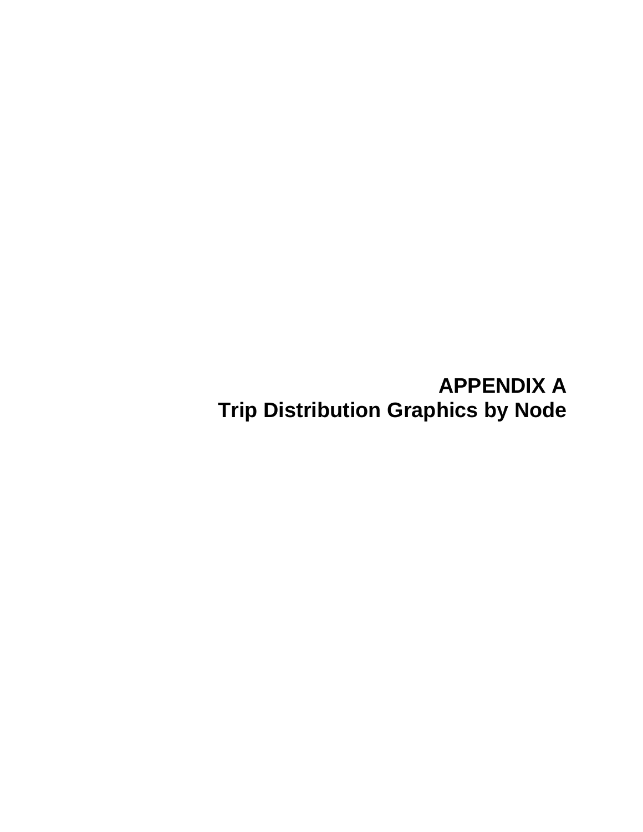# **APPENDIX A Trip Distribution Graphics by Node**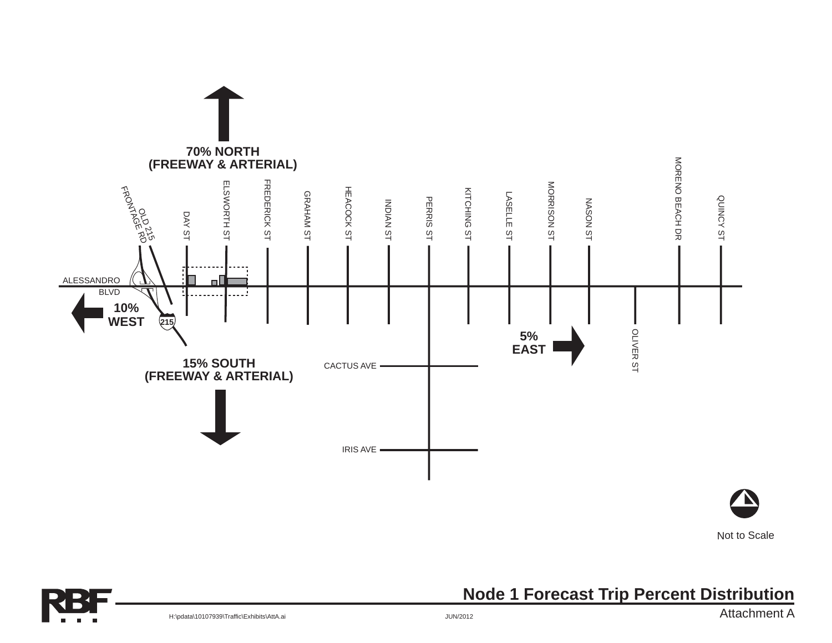

Not to Scale



### **Node 1 Forecast Trip Percent Distribution**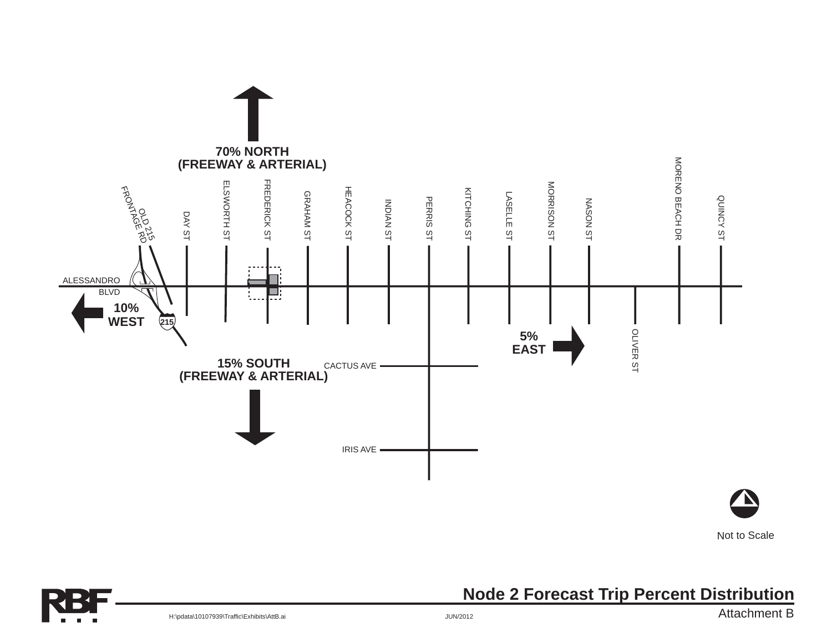

Not to Scale

**Node 2 Forecast Trip Percent Distribution**

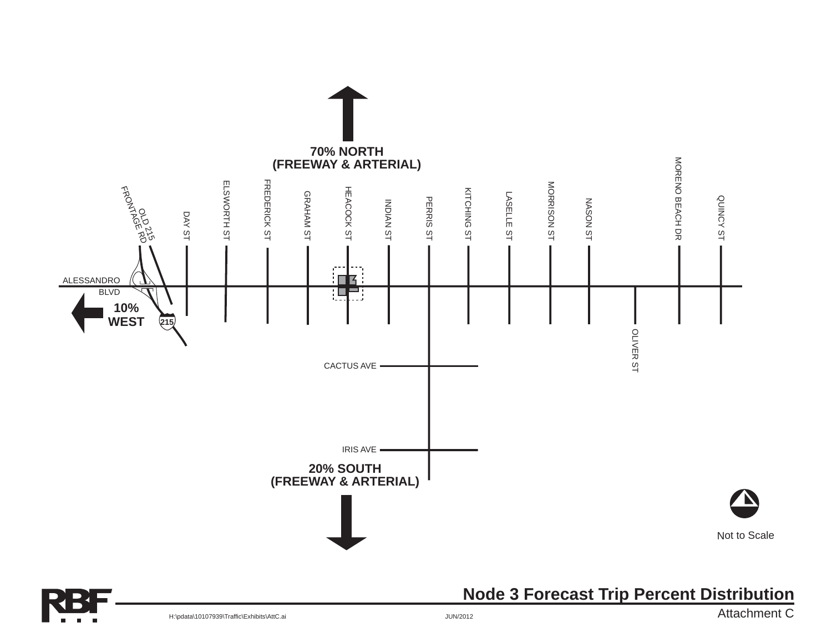

### **Node 3 Forecast Trip Percent Distribution**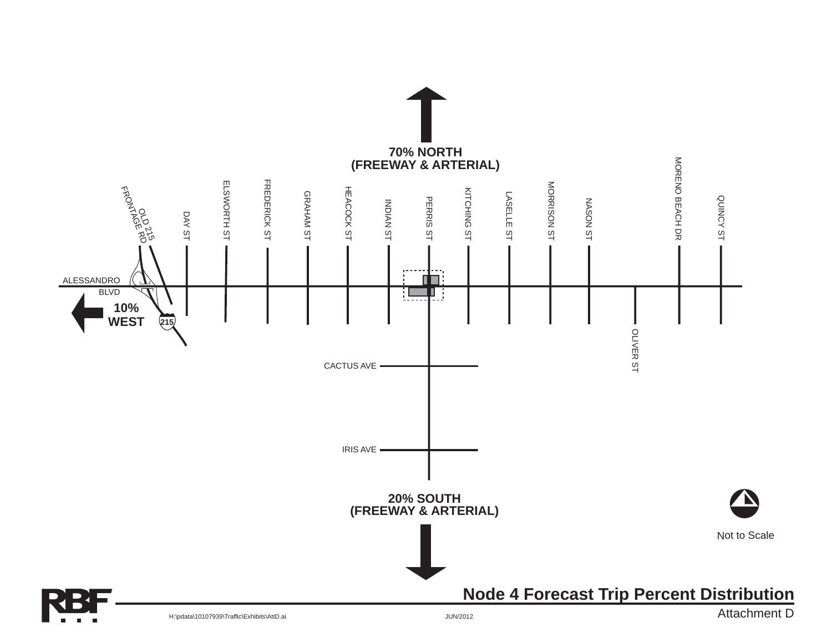![](_page_55_Figure_0.jpeg)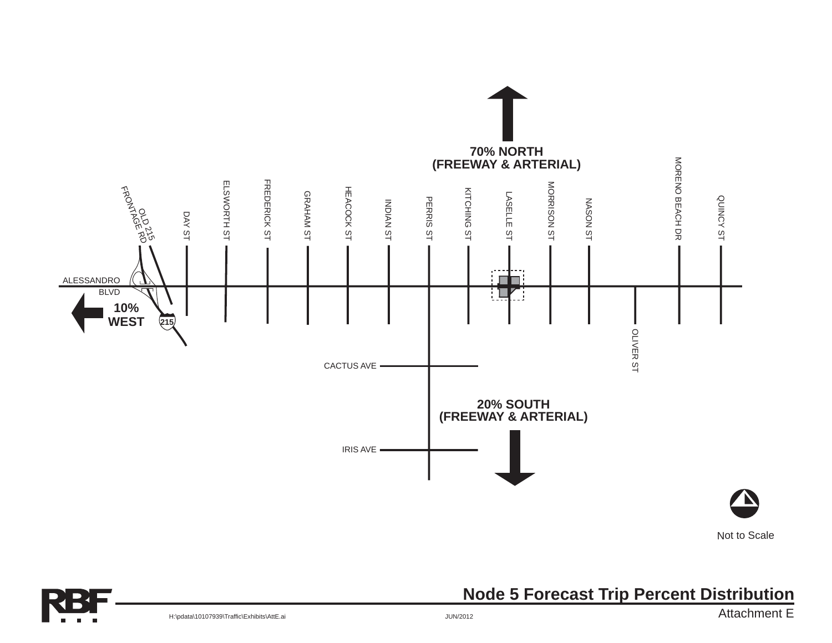![](_page_56_Figure_0.jpeg)

Not to Scale

**Node 5 Forecast Trip Percent Distribution**

![](_page_56_Picture_3.jpeg)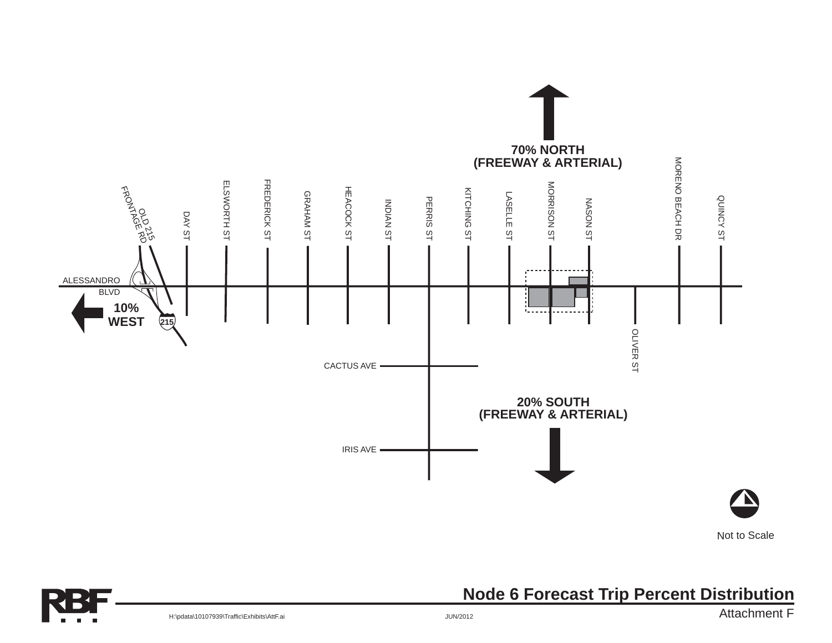![](_page_57_Figure_0.jpeg)

**Node 6 Forecast Trip Percent Distribution**

![](_page_57_Picture_2.jpeg)

H:\pdata\10107939\Traffic\Exhibits\AttF.ai